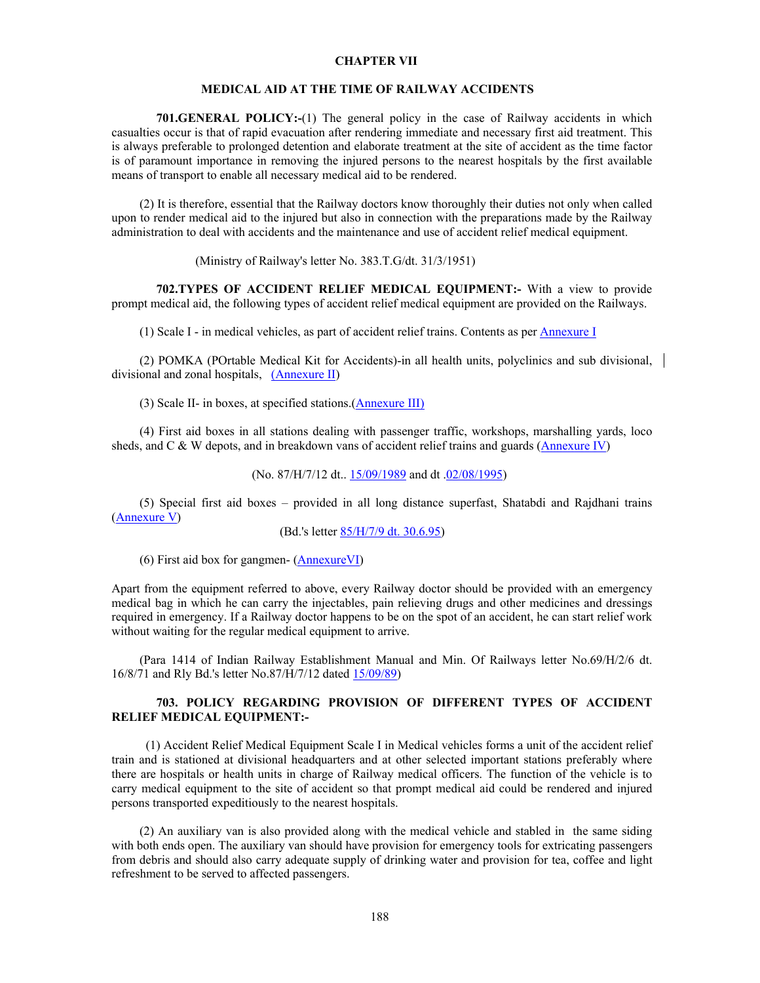### **CHAPTER VII**

### **MEDICAL AID AT THE TIME OF RAILWAY ACCIDENTS**

**701.GENERAL POLICY:-**(1) The general policy in the case of Railway accidents in which casualties occur is that of rapid evacuation after rendering immediate and necessary first aid treatment. This is always preferable to prolonged detention and elaborate treatment at the site of accident as the time factor is of paramount importance in removing the injured persons to the nearest hospitals by the first available means of transport to enable all necessary medical aid to be rendered.

 (2) It is therefore, essential that the Railway doctors know thoroughly their duties not only when called upon to render medical aid to the injured but also in connection with the preparations made by the Railway administration to deal with accidents and the maintenance and use of accident relief medical equipment.

(Ministry of Railway's letter No. 383.T.G/dt. 31/3/1951)

 **702.TYPES OF ACCIDENT RELIEF MEDICAL EQUIPMENT:-** With a view to provide prompt medical aid, the following types of accident relief medical equipment are provided on the Railways.

(1) Scale I - in medical vehicles, as part of accident relief trains. Contents as per Annexure I

 (2) POMKA (POrtable Medical Kit for Accidents)-in all health units, polyclinics and sub divisional, divisional and zonal hospitals, (Annexure II)

(3) Scale II- in boxes, at specified stations.(Annexure III)

 (4) First aid boxes in all stations dealing with passenger traffic, workshops, marshalling yards, loco sheds, and C & W depots, and in breakdown vans of accident relief trains and guards (Annexure IV)

(No. 87/H/7/12 dt.. 15/09/1989 and dt .02/08/1995)

 (5) Special first aid boxes – provided in all long distance superfast, Shatabdi and Rajdhani trains (Annexure V)

(Bd.'s letter 85/H/7/9 dt. 30.6.95)

(6) First aid box for gangmen- (AnnexureVI)

Apart from the equipment referred to above, every Railway doctor should be provided with an emergency medical bag in which he can carry the injectables, pain relieving drugs and other medicines and dressings required in emergency. If a Railway doctor happens to be on the spot of an accident, he can start relief work without waiting for the regular medical equipment to arrive.

 (Para 1414 of Indian Railway Establishment Manual and Min. Of Railways letter No.69/H/2/6 dt. 16/8/71 and Rly Bd.'s letter No.87/H/7/12 dated 15/09/89)

## **703. POLICY REGARDING PROVISION OF DIFFERENT TYPES OF ACCIDENT RELIEF MEDICAL EQUIPMENT:-**

 (1) Accident Relief Medical Equipment Scale I in Medical vehicles forms a unit of the accident relief train and is stationed at divisional headquarters and at other selected important stations preferably where there are hospitals or health units in charge of Railway medical officers. The function of the vehicle is to carry medical equipment to the site of accident so that prompt medical aid could be rendered and injured persons transported expeditiously to the nearest hospitals.

 (2) An auxiliary van is also provided along with the medical vehicle and stabled in the same siding with both ends open. The auxiliary van should have provision for emergency tools for extricating passengers from debris and should also carry adequate supply of drinking water and provision for tea, coffee and light refreshment to be served to affected passengers.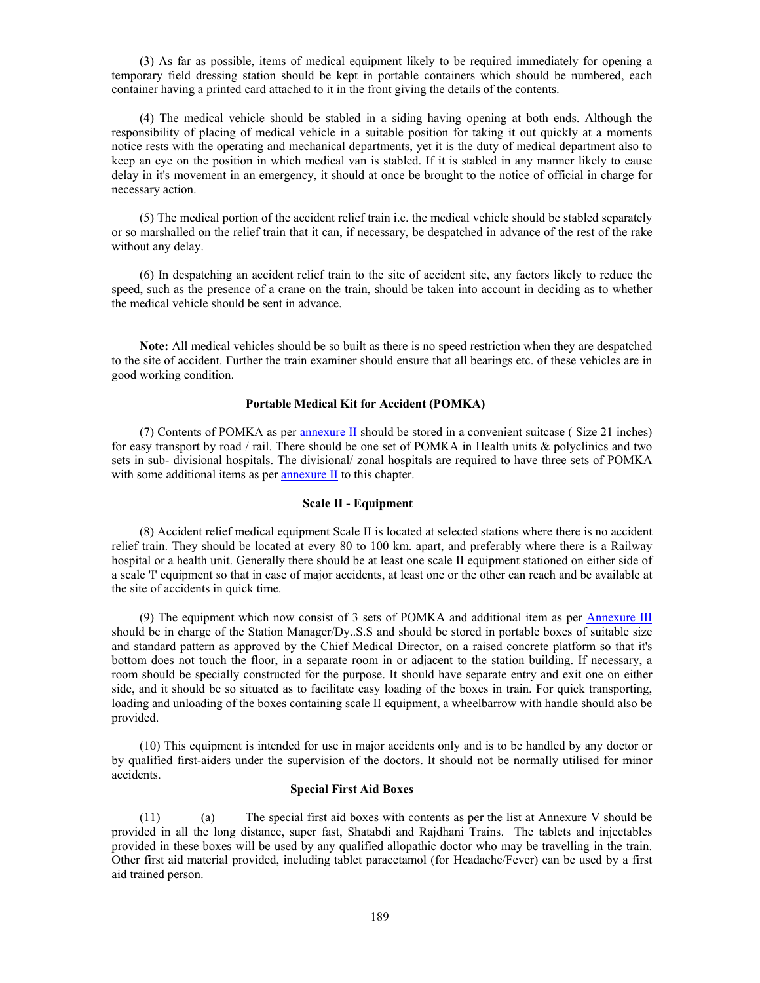(3) As far as possible, items of medical equipment likely to be required immediately for opening a temporary field dressing station should be kept in portable containers which should be numbered, each container having a printed card attached to it in the front giving the details of the contents.

 (4) The medical vehicle should be stabled in a siding having opening at both ends. Although the responsibility of placing of medical vehicle in a suitable position for taking it out quickly at a moments notice rests with the operating and mechanical departments, yet it is the duty of medical department also to keep an eye on the position in which medical van is stabled. If it is stabled in any manner likely to cause delay in it's movement in an emergency, it should at once be brought to the notice of official in charge for necessary action.

 (5) The medical portion of the accident relief train i.e. the medical vehicle should be stabled separately or so marshalled on the relief train that it can, if necessary, be despatched in advance of the rest of the rake without any delay.

 (6) In despatching an accident relief train to the site of accident site, any factors likely to reduce the speed, such as the presence of a crane on the train, should be taken into account in deciding as to whether the medical vehicle should be sent in advance.

 **Note:** All medical vehicles should be so built as there is no speed restriction when they are despatched to the site of accident. Further the train examiner should ensure that all bearings etc. of these vehicles are in good working condition.

### **Portable Medical Kit for Accident (POMKA)**

 (7) Contents of POMKA as per annexure II should be stored in a convenient suitcase ( Size 21 inches) for easy transport by road / rail. There should be one set of POMKA in Health units & polyclinics and two sets in sub- divisional hospitals. The divisional/ zonal hospitals are required to have three sets of POMKA with some additional items as per annexure II to this chapter.

#### **Scale II - Equipment**

 (8) Accident relief medical equipment Scale II is located at selected stations where there is no accident relief train. They should be located at every 80 to 100 km. apart, and preferably where there is a Railway hospital or a health unit. Generally there should be at least one scale II equipment stationed on either side of a scale 'I' equipment so that in case of major accidents, at least one or the other can reach and be available at the site of accidents in quick time.

 (9) The equipment which now consist of 3 sets of POMKA and additional item as per Annexure III should be in charge of the Station Manager/Dy..S.S and should be stored in portable boxes of suitable size and standard pattern as approved by the Chief Medical Director, on a raised concrete platform so that it's bottom does not touch the floor, in a separate room in or adjacent to the station building. If necessary, a room should be specially constructed for the purpose. It should have separate entry and exit one on either side, and it should be so situated as to facilitate easy loading of the boxes in train. For quick transporting, loading and unloading of the boxes containing scale II equipment, a wheelbarrow with handle should also be provided.

 (10) This equipment is intended for use in major accidents only and is to be handled by any doctor or by qualified first-aiders under the supervision of the doctors. It should not be normally utilised for minor accidents.

### **Special First Aid Boxes**

 (11) (a) The special first aid boxes with contents as per the list at Annexure V should be provided in all the long distance, super fast, Shatabdi and Rajdhani Trains. The tablets and injectables provided in these boxes will be used by any qualified allopathic doctor who may be travelling in the train. Other first aid material provided, including tablet paracetamol (for Headache/Fever) can be used by a first aid trained person.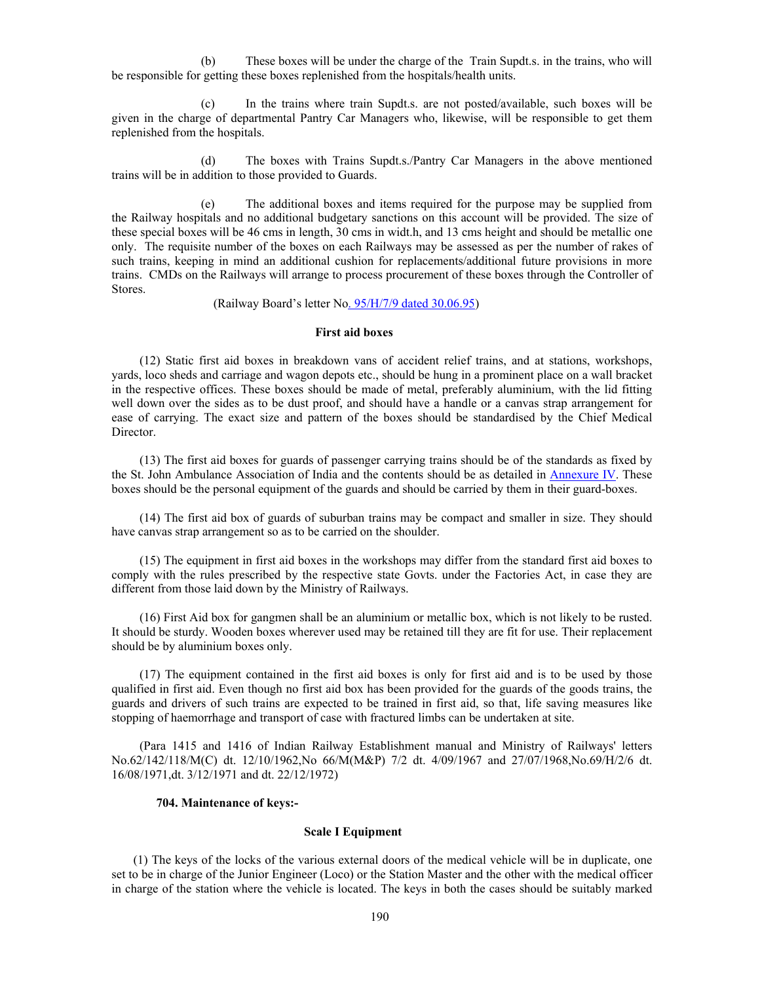(b) These boxes will be under the charge of the Train Supdt.s. in the trains, who will be responsible for getting these boxes replenished from the hospitals/health units.

(c) In the trains where train Supdt.s. are not posted/available, such boxes will be given in the charge of departmental Pantry Car Managers who, likewise, will be responsible to get them replenished from the hospitals.

(d) The boxes with Trains Supdt.s./Pantry Car Managers in the above mentioned trains will be in addition to those provided to Guards.

(e) The additional boxes and items required for the purpose may be supplied from the Railway hospitals and no additional budgetary sanctions on this account will be provided. The size of these special boxes will be 46 cms in length, 30 cms in widt.h, and 13 cms height and should be metallic one only. The requisite number of the boxes on each Railways may be assessed as per the number of rakes of such trains, keeping in mind an additional cushion for replacements/additional future provisions in more trains. CMDs on the Railways will arrange to process procurement of these boxes through the Controller of Stores.

(Railway Board's letter No. 95/H/7/9 dated 30.06.95)

#### **First aid boxes**

 (12) Static first aid boxes in breakdown vans of accident relief trains, and at stations, workshops, yards, loco sheds and carriage and wagon depots etc., should be hung in a prominent place on a wall bracket in the respective offices. These boxes should be made of metal, preferably aluminium, with the lid fitting well down over the sides as to be dust proof, and should have a handle or a canvas strap arrangement for ease of carrying. The exact size and pattern of the boxes should be standardised by the Chief Medical Director.

 (13) The first aid boxes for guards of passenger carrying trains should be of the standards as fixed by the St. John Ambulance Association of India and the contents should be as detailed in Annexure IV. These boxes should be the personal equipment of the guards and should be carried by them in their guard-boxes.

 (14) The first aid box of guards of suburban trains may be compact and smaller in size. They should have canvas strap arrangement so as to be carried on the shoulder.

 (15) The equipment in first aid boxes in the workshops may differ from the standard first aid boxes to comply with the rules prescribed by the respective state Govts. under the Factories Act, in case they are different from those laid down by the Ministry of Railways.

 (16) First Aid box for gangmen shall be an aluminium or metallic box, which is not likely to be rusted. It should be sturdy. Wooden boxes wherever used may be retained till they are fit for use. Their replacement should be by aluminium boxes only.

 (17) The equipment contained in the first aid boxes is only for first aid and is to be used by those qualified in first aid. Even though no first aid box has been provided for the guards of the goods trains, the guards and drivers of such trains are expected to be trained in first aid, so that, life saving measures like stopping of haemorrhage and transport of case with fractured limbs can be undertaken at site.

 (Para 1415 and 1416 of Indian Railway Establishment manual and Ministry of Railways' letters No.62/142/118/M(C) dt. 12/10/1962,No 66/M(M&P) 7/2 dt. 4/09/1967 and 27/07/1968,No.69/H/2/6 dt. 16/08/1971,dt. 3/12/1971 and dt. 22/12/1972)

### **704. Maintenance of keys:-**

#### **Scale I Equipment**

 (1) The keys of the locks of the various external doors of the medical vehicle will be in duplicate, one set to be in charge of the Junior Engineer (Loco) or the Station Master and the other with the medical officer in charge of the station where the vehicle is located. The keys in both the cases should be suitably marked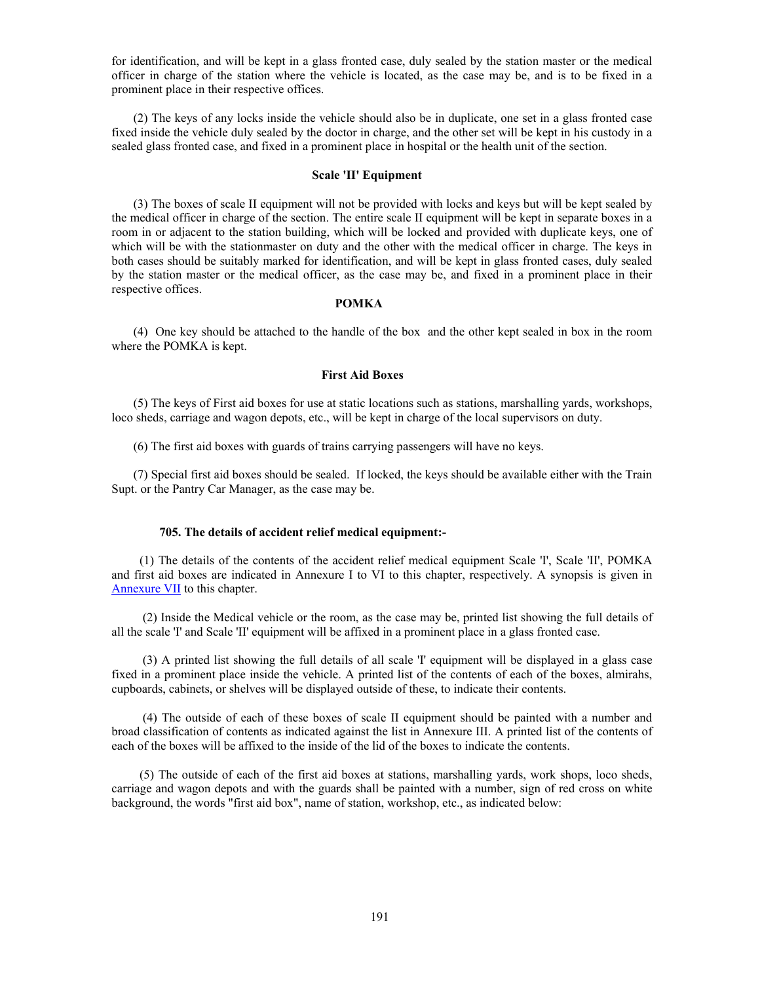for identification, and will be kept in a glass fronted case, duly sealed by the station master or the medical officer in charge of the station where the vehicle is located, as the case may be, and is to be fixed in a prominent place in their respective offices.

 (2) The keys of any locks inside the vehicle should also be in duplicate, one set in a glass fronted case fixed inside the vehicle duly sealed by the doctor in charge, and the other set will be kept in his custody in a sealed glass fronted case, and fixed in a prominent place in hospital or the health unit of the section.

#### **Scale 'II' Equipment**

 (3) The boxes of scale II equipment will not be provided with locks and keys but will be kept sealed by the medical officer in charge of the section. The entire scale II equipment will be kept in separate boxes in a room in or adjacent to the station building, which will be locked and provided with duplicate keys, one of which will be with the stationmaster on duty and the other with the medical officer in charge. The keys in both cases should be suitably marked for identification, and will be kept in glass fronted cases, duly sealed by the station master or the medical officer, as the case may be, and fixed in a prominent place in their respective offices.

#### **POMKA**

 (4) One key should be attached to the handle of the box and the other kept sealed in box in the room where the POMKA is kept.

### **First Aid Boxes**

 (5) The keys of First aid boxes for use at static locations such as stations, marshalling yards, workshops, loco sheds, carriage and wagon depots, etc., will be kept in charge of the local supervisors on duty.

(6) The first aid boxes with guards of trains carrying passengers will have no keys.

 (7) Special first aid boxes should be sealed. If locked, the keys should be available either with the Train Supt. or the Pantry Car Manager, as the case may be.

### **705. The details of accident relief medical equipment:-**

 (1) The details of the contents of the accident relief medical equipment Scale 'I', Scale 'II', POMKA and first aid boxes are indicated in Annexure I to VI to this chapter, respectively. A synopsis is given in Annexure VII to this chapter.

 (2) Inside the Medical vehicle or the room, as the case may be, printed list showing the full details of all the scale 'I' and Scale 'II' equipment will be affixed in a prominent place in a glass fronted case.

 (3) A printed list showing the full details of all scale 'I' equipment will be displayed in a glass case fixed in a prominent place inside the vehicle. A printed list of the contents of each of the boxes, almirahs, cupboards, cabinets, or shelves will be displayed outside of these, to indicate their contents.

 (4) The outside of each of these boxes of scale II equipment should be painted with a number and broad classification of contents as indicated against the list in Annexure III. A printed list of the contents of each of the boxes will be affixed to the inside of the lid of the boxes to indicate the contents.

 (5) The outside of each of the first aid boxes at stations, marshalling yards, work shops, loco sheds, carriage and wagon depots and with the guards shall be painted with a number, sign of red cross on white background, the words "first aid box", name of station, workshop, etc., as indicated below: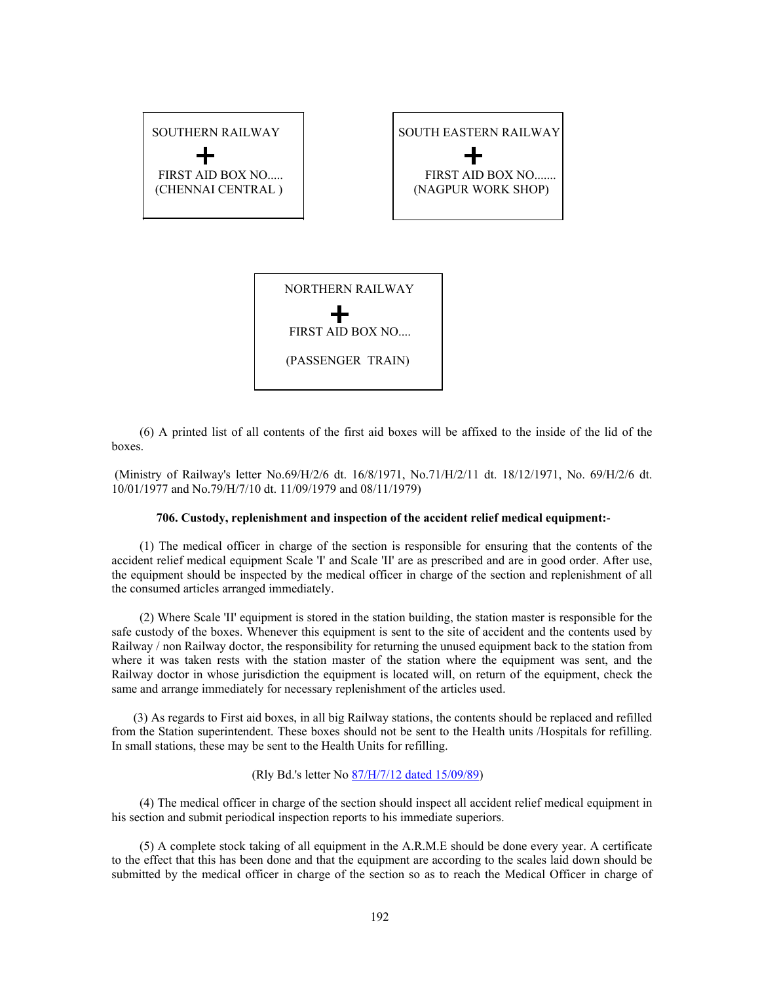

 (6) A printed list of all contents of the first aid boxes will be affixed to the inside of the lid of the boxes.

 (Ministry of Railway's letter No.69/H/2/6 dt. 16/8/1971, No.71/H/2/11 dt. 18/12/1971, No. 69/H/2/6 dt. 10/01/1977 and No.79/H/7/10 dt. 11/09/1979 and 08/11/1979)

### **706. Custody, replenishment and inspection of the accident relief medical equipment:**-

 (1) The medical officer in charge of the section is responsible for ensuring that the contents of the accident relief medical equipment Scale 'I' and Scale 'II' are as prescribed and are in good order. After use, the equipment should be inspected by the medical officer in charge of the section and replenishment of all the consumed articles arranged immediately.

 (2) Where Scale 'II' equipment is stored in the station building, the station master is responsible for the safe custody of the boxes. Whenever this equipment is sent to the site of accident and the contents used by Railway / non Railway doctor, the responsibility for returning the unused equipment back to the station from where it was taken rests with the station master of the station where the equipment was sent, and the Railway doctor in whose jurisdiction the equipment is located will, on return of the equipment, check the same and arrange immediately for necessary replenishment of the articles used.

 (3) As regards to First aid boxes, in all big Railway stations, the contents should be replaced and refilled from the Station superintendent. These boxes should not be sent to the Health units /Hospitals for refilling. In small stations, these may be sent to the Health Units for refilling.

### (Rly Bd.'s letter No 87/H/7/12 dated 15/09/89)

 (4) The medical officer in charge of the section should inspect all accident relief medical equipment in his section and submit periodical inspection reports to his immediate superiors.

 (5) A complete stock taking of all equipment in the A.R.M.E should be done every year. A certificate to the effect that this has been done and that the equipment are according to the scales laid down should be submitted by the medical officer in charge of the section so as to reach the Medical Officer in charge of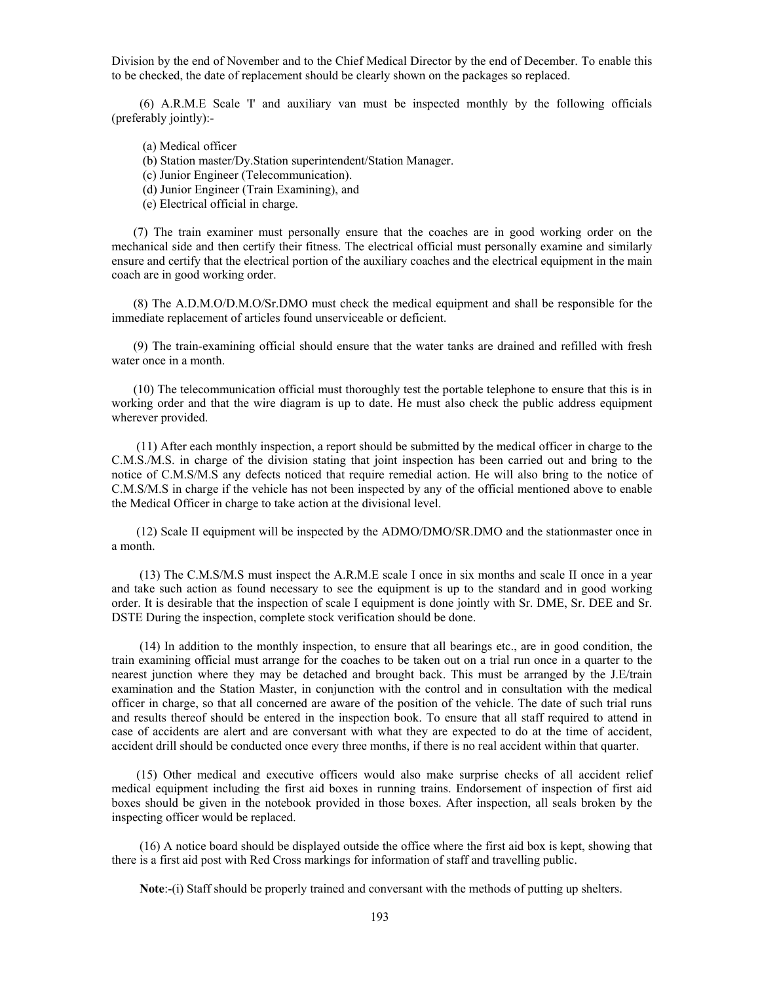Division by the end of November and to the Chief Medical Director by the end of December. To enable this to be checked, the date of replacement should be clearly shown on the packages so replaced.

 (6) A.R.M.E Scale 'I' and auxiliary van must be inspected monthly by the following officials (preferably jointly):-

(a) Medical officer

(b) Station master/Dy.Station superintendent/Station Manager.

(c) Junior Engineer (Telecommunication).

(d) Junior Engineer (Train Examining), and

(e) Electrical official in charge.

 (7) The train examiner must personally ensure that the coaches are in good working order on the mechanical side and then certify their fitness. The electrical official must personally examine and similarly ensure and certify that the electrical portion of the auxiliary coaches and the electrical equipment in the main coach are in good working order.

 (8) The A.D.M.O/D.M.O/Sr.DMO must check the medical equipment and shall be responsible for the immediate replacement of articles found unserviceable or deficient.

 (9) The train-examining official should ensure that the water tanks are drained and refilled with fresh water once in a month.

 (10) The telecommunication official must thoroughly test the portable telephone to ensure that this is in working order and that the wire diagram is up to date. He must also check the public address equipment wherever provided.

 (11) After each monthly inspection, a report should be submitted by the medical officer in charge to the C.M.S./M.S. in charge of the division stating that joint inspection has been carried out and bring to the notice of C.M.S/M.S any defects noticed that require remedial action. He will also bring to the notice of C.M.S/M.S in charge if the vehicle has not been inspected by any of the official mentioned above to enable the Medical Officer in charge to take action at the divisional level.

 (12) Scale II equipment will be inspected by the ADMO/DMO/SR.DMO and the stationmaster once in a month.

 (13) The C.M.S/M.S must inspect the A.R.M.E scale I once in six months and scale II once in a year and take such action as found necessary to see the equipment is up to the standard and in good working order. It is desirable that the inspection of scale I equipment is done jointly with Sr. DME, Sr. DEE and Sr. DSTE During the inspection, complete stock verification should be done.

 (14) In addition to the monthly inspection, to ensure that all bearings etc., are in good condition, the train examining official must arrange for the coaches to be taken out on a trial run once in a quarter to the nearest junction where they may be detached and brought back. This must be arranged by the J.E/train examination and the Station Master, in conjunction with the control and in consultation with the medical officer in charge, so that all concerned are aware of the position of the vehicle. The date of such trial runs and results thereof should be entered in the inspection book. To ensure that all staff required to attend in case of accidents are alert and are conversant with what they are expected to do at the time of accident, accident drill should be conducted once every three months, if there is no real accident within that quarter.

 (15) Other medical and executive officers would also make surprise checks of all accident relief medical equipment including the first aid boxes in running trains. Endorsement of inspection of first aid boxes should be given in the notebook provided in those boxes. After inspection, all seals broken by the inspecting officer would be replaced.

 (16) A notice board should be displayed outside the office where the first aid box is kept, showing that there is a first aid post with Red Cross markings for information of staff and travelling public.

**Note**:-(i) Staff should be properly trained and conversant with the methods of putting up shelters.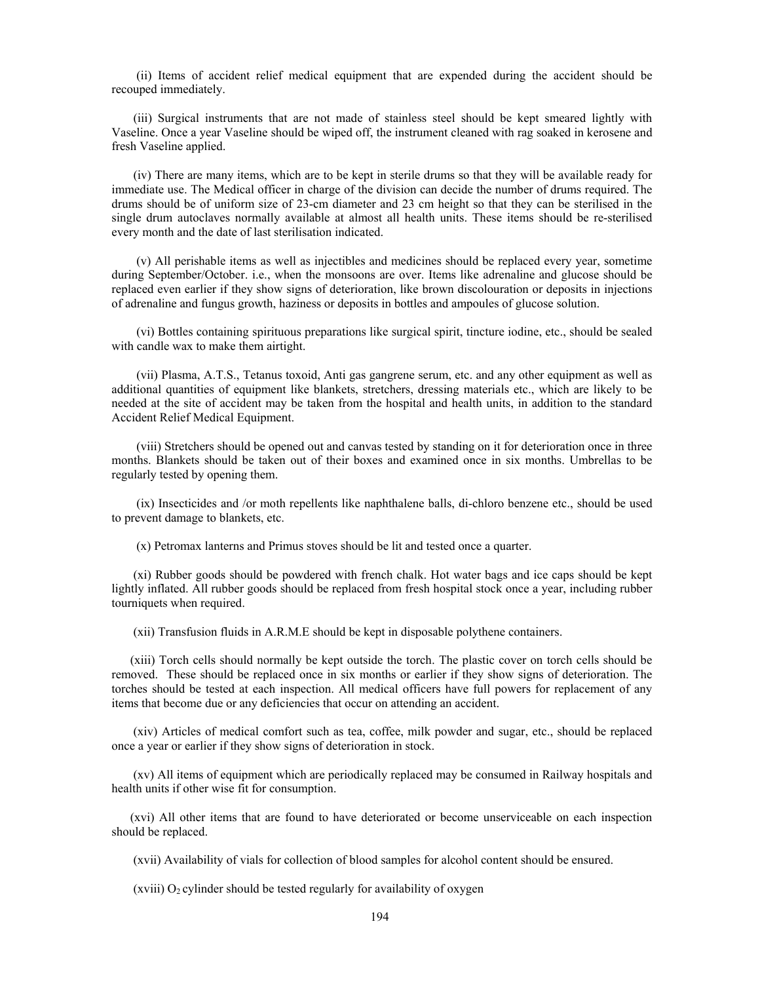(ii) Items of accident relief medical equipment that are expended during the accident should be recouped immediately.

 (iii) Surgical instruments that are not made of stainless steel should be kept smeared lightly with Vaseline. Once a year Vaseline should be wiped off, the instrument cleaned with rag soaked in kerosene and fresh Vaseline applied.

 (iv) There are many items, which are to be kept in sterile drums so that they will be available ready for immediate use. The Medical officer in charge of the division can decide the number of drums required. The drums should be of uniform size of 23-cm diameter and 23 cm height so that they can be sterilised in the single drum autoclaves normally available at almost all health units. These items should be re-sterilised every month and the date of last sterilisation indicated.

 (v) All perishable items as well as injectibles and medicines should be replaced every year, sometime during September/October. i.e., when the monsoons are over. Items like adrenaline and glucose should be replaced even earlier if they show signs of deterioration, like brown discolouration or deposits in injections of adrenaline and fungus growth, haziness or deposits in bottles and ampoules of glucose solution.

 (vi) Bottles containing spirituous preparations like surgical spirit, tincture iodine, etc., should be sealed with candle wax to make them airtight.

 (vii) Plasma, A.T.S., Tetanus toxoid, Anti gas gangrene serum, etc. and any other equipment as well as additional quantities of equipment like blankets, stretchers, dressing materials etc., which are likely to be needed at the site of accident may be taken from the hospital and health units, in addition to the standard Accident Relief Medical Equipment.

 (viii) Stretchers should be opened out and canvas tested by standing on it for deterioration once in three months. Blankets should be taken out of their boxes and examined once in six months. Umbrellas to be regularly tested by opening them.

 (ix) Insecticides and /or moth repellents like naphthalene balls, di-chloro benzene etc., should be used to prevent damage to blankets, etc.

(x) Petromax lanterns and Primus stoves should be lit and tested once a quarter.

 (xi) Rubber goods should be powdered with french chalk. Hot water bags and ice caps should be kept lightly inflated. All rubber goods should be replaced from fresh hospital stock once a year, including rubber tourniquets when required.

(xii) Transfusion fluids in A.R.M.E should be kept in disposable polythene containers.

 (xiii) Torch cells should normally be kept outside the torch. The plastic cover on torch cells should be removed. These should be replaced once in six months or earlier if they show signs of deterioration. The torches should be tested at each inspection. All medical officers have full powers for replacement of any items that become due or any deficiencies that occur on attending an accident.

 (xiv) Articles of medical comfort such as tea, coffee, milk powder and sugar, etc., should be replaced once a year or earlier if they show signs of deterioration in stock.

 (xv) All items of equipment which are periodically replaced may be consumed in Railway hospitals and health units if other wise fit for consumption.

 (xvi) All other items that are found to have deteriorated or become unserviceable on each inspection should be replaced.

(xvii) Availability of vials for collection of blood samples for alcohol content should be ensured.

(xviii)  $O<sub>2</sub>$  cylinder should be tested regularly for availability of oxygen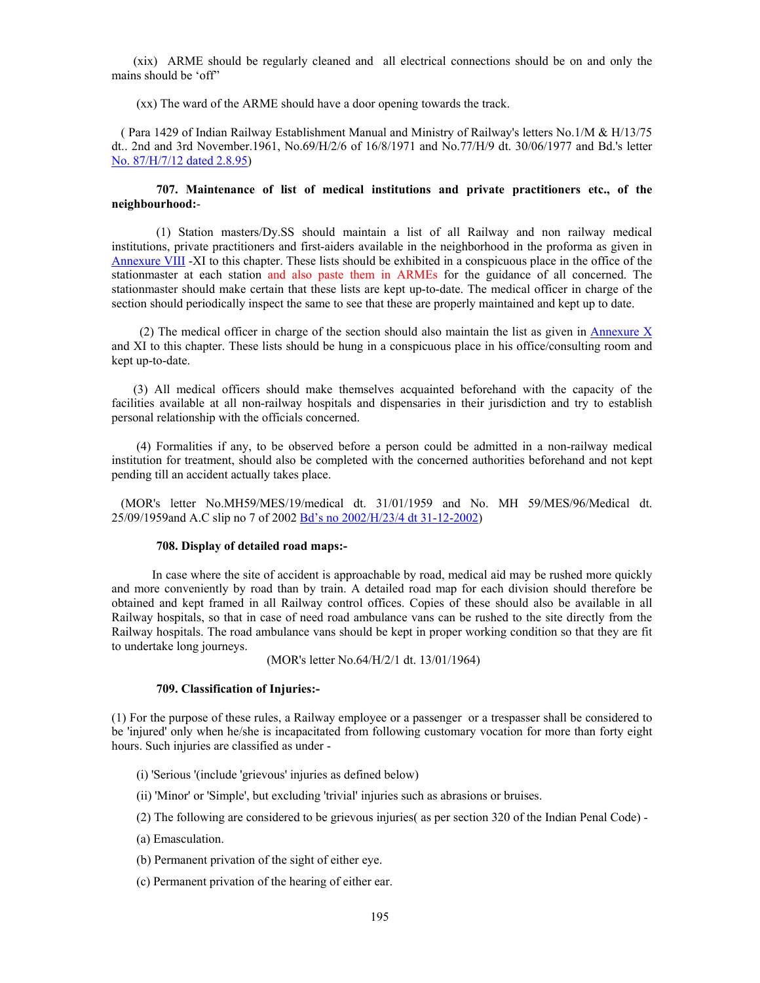(xix) ARME should be regularly cleaned and all electrical connections should be on and only the mains should be 'off"

(xx) The ward of the ARME should have a door opening towards the track.

 ( Para 1429 of Indian Railway Establishment Manual and Ministry of Railway's letters No.1/M & H/13/75 dt.. 2nd and 3rd November.1961, No.69/H/2/6 of 16/8/1971 and No.77/H/9 dt. 30/06/1977 and Bd.'s letter No. 87/H/7/12 dated 2.8.95)

### **707. Maintenance of list of medical institutions and private practitioners etc., of the neighbourhood:**-

(1) Station masters/Dy.SS should maintain a list of all Railway and non railway medical institutions, private practitioners and first-aiders available in the neighborhood in the proforma as given in Annexure VIII -XI to this chapter. These lists should be exhibited in a conspicuous place in the office of the stationmaster at each station and also paste them in ARMEs for the guidance of all concerned. The stationmaster should make certain that these lists are kept up-to-date. The medical officer in charge of the section should periodically inspect the same to see that these are properly maintained and kept up to date.

(2) The medical officer in charge of the section should also maintain the list as given in Annexure  $X$ and XI to this chapter. These lists should be hung in a conspicuous place in his office/consulting room and kept up-to-date.

 (3) All medical officers should make themselves acquainted beforehand with the capacity of the facilities available at all non-railway hospitals and dispensaries in their jurisdiction and try to establish personal relationship with the officials concerned.

 (4) Formalities if any, to be observed before a person could be admitted in a non-railway medical institution for treatment, should also be completed with the concerned authorities beforehand and not kept pending till an accident actually takes place.

 (MOR's letter No.MH59/MES/19/medical dt. 31/01/1959 and No. MH 59/MES/96/Medical dt. 25/09/1959and A.C slip no 7 of 2002 Bd's no 2002/H/23/4 dt 31-12-2002)

### **708. Display of detailed road maps:-**

 In case where the site of accident is approachable by road, medical aid may be rushed more quickly and more conveniently by road than by train. A detailed road map for each division should therefore be obtained and kept framed in all Railway control offices. Copies of these should also be available in all Railway hospitals, so that in case of need road ambulance vans can be rushed to the site directly from the Railway hospitals. The road ambulance vans should be kept in proper working condition so that they are fit to undertake long journeys.

(MOR's letter No.64/H/2/1 dt. 13/01/1964)

#### **709. Classification of Injuries:-**

(1) For the purpose of these rules, a Railway employee or a passenger or a trespasser shall be considered to be 'injured' only when he/she is incapacitated from following customary vocation for more than forty eight hours. Such injuries are classified as under -

- (i) 'Serious '(include 'grievous' injuries as defined below)
- (ii) 'Minor' or 'Simple', but excluding 'trivial' injuries such as abrasions or bruises.
- (2) The following are considered to be grievous injuries( as per section 320 of the Indian Penal Code) -
- (a) Emasculation.
- (b) Permanent privation of the sight of either eye.
- (c) Permanent privation of the hearing of either ear.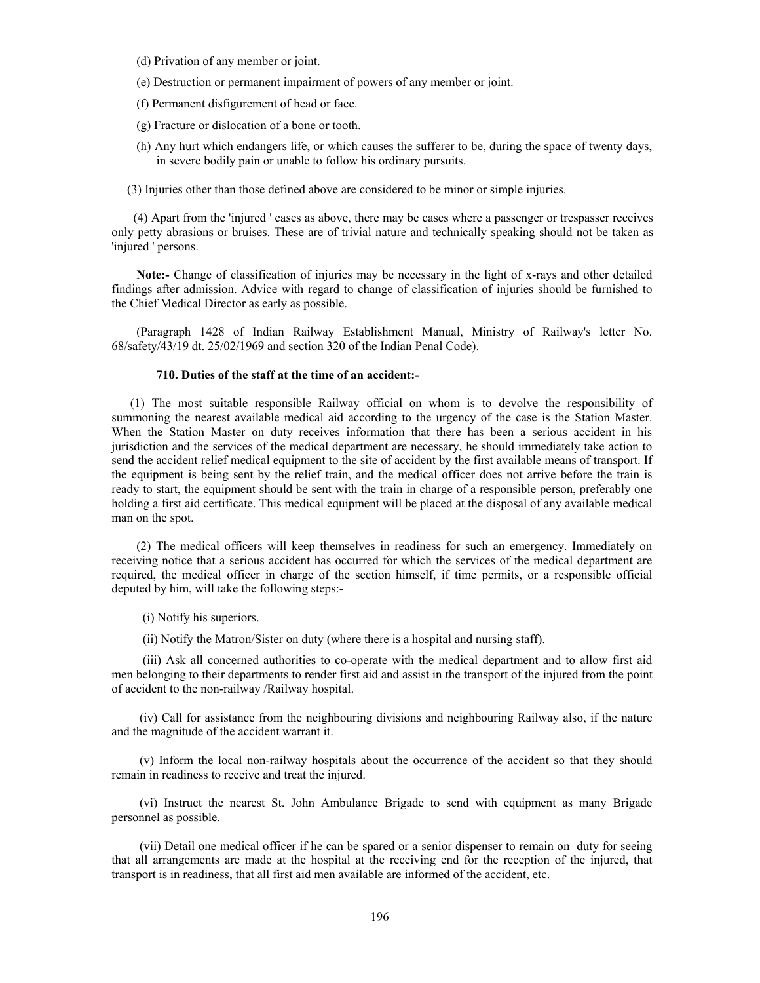- (d) Privation of any member or joint.
- (e) Destruction or permanent impairment of powers of any member or joint.
- (f) Permanent disfigurement of head or face.
- (g) Fracture or dislocation of a bone or tooth.
- (h) Any hurt which endangers life, or which causes the sufferer to be, during the space of twenty days, in severe bodily pain or unable to follow his ordinary pursuits.
- (3) Injuries other than those defined above are considered to be minor or simple injuries.

 (4) Apart from the 'injured ' cases as above, there may be cases where a passenger or trespasser receives only petty abrasions or bruises. These are of trivial nature and technically speaking should not be taken as 'injured ' persons.

 **Note:-** Change of classification of injuries may be necessary in the light of x-rays and other detailed findings after admission. Advice with regard to change of classification of injuries should be furnished to the Chief Medical Director as early as possible.

 (Paragraph 1428 of Indian Railway Establishment Manual, Ministry of Railway's letter No. 68/safety/43/19 dt. 25/02/1969 and section 320 of the Indian Penal Code).

### **710. Duties of the staff at the time of an accident:-**

 (1) The most suitable responsible Railway official on whom is to devolve the responsibility of summoning the nearest available medical aid according to the urgency of the case is the Station Master. When the Station Master on duty receives information that there has been a serious accident in his jurisdiction and the services of the medical department are necessary, he should immediately take action to send the accident relief medical equipment to the site of accident by the first available means of transport. If the equipment is being sent by the relief train, and the medical officer does not arrive before the train is ready to start, the equipment should be sent with the train in charge of a responsible person, preferably one holding a first aid certificate. This medical equipment will be placed at the disposal of any available medical man on the spot.

 (2) The medical officers will keep themselves in readiness for such an emergency. Immediately on receiving notice that a serious accident has occurred for which the services of the medical department are required, the medical officer in charge of the section himself, if time permits, or a responsible official deputed by him, will take the following steps:-

- (i) Notify his superiors.
- (ii) Notify the Matron/Sister on duty (where there is a hospital and nursing staff).

 (iii) Ask all concerned authorities to co-operate with the medical department and to allow first aid men belonging to their departments to render first aid and assist in the transport of the injured from the point of accident to the non-railway /Railway hospital.

 (iv) Call for assistance from the neighbouring divisions and neighbouring Railway also, if the nature and the magnitude of the accident warrant it.

 (v) Inform the local non-railway hospitals about the occurrence of the accident so that they should remain in readiness to receive and treat the injured.

 (vi) Instruct the nearest St. John Ambulance Brigade to send with equipment as many Brigade personnel as possible.

 (vii) Detail one medical officer if he can be spared or a senior dispenser to remain on duty for seeing that all arrangements are made at the hospital at the receiving end for the reception of the injured, that transport is in readiness, that all first aid men available are informed of the accident, etc.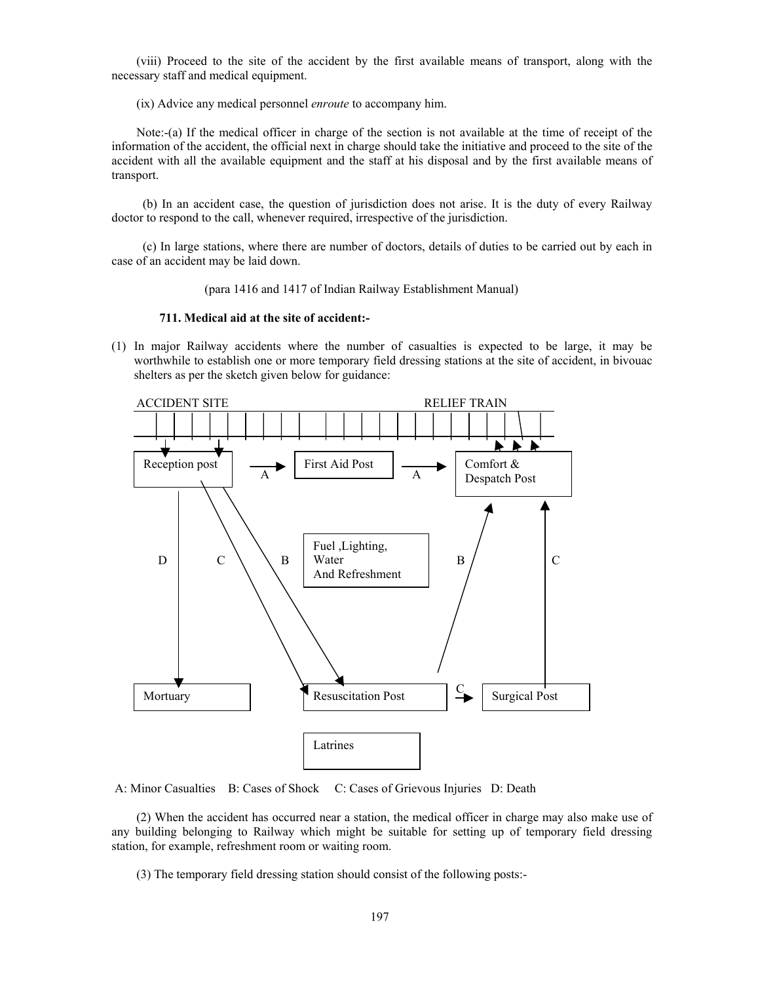(viii) Proceed to the site of the accident by the first available means of transport, along with the necessary staff and medical equipment.

(ix) Advice any medical personnel *enroute* to accompany him.

 Note:-(a) If the medical officer in charge of the section is not available at the time of receipt of the information of the accident, the official next in charge should take the initiative and proceed to the site of the accident with all the available equipment and the staff at his disposal and by the first available means of transport.

 (b) In an accident case, the question of jurisdiction does not arise. It is the duty of every Railway doctor to respond to the call, whenever required, irrespective of the jurisdiction.

 (c) In large stations, where there are number of doctors, details of duties to be carried out by each in case of an accident may be laid down.

(para 1416 and 1417 of Indian Railway Establishment Manual)

#### **711. Medical aid at the site of accident:-**

(1) In major Railway accidents where the number of casualties is expected to be large, it may be worthwhile to establish one or more temporary field dressing stations at the site of accident, in bivouac shelters as per the sketch given below for guidance:



A: Minor Casualties B: Cases of Shock C: Cases of Grievous Injuries D: Death

 (2) When the accident has occurred near a station, the medical officer in charge may also make use of any building belonging to Railway which might be suitable for setting up of temporary field dressing station, for example, refreshment room or waiting room.

(3) The temporary field dressing station should consist of the following posts:-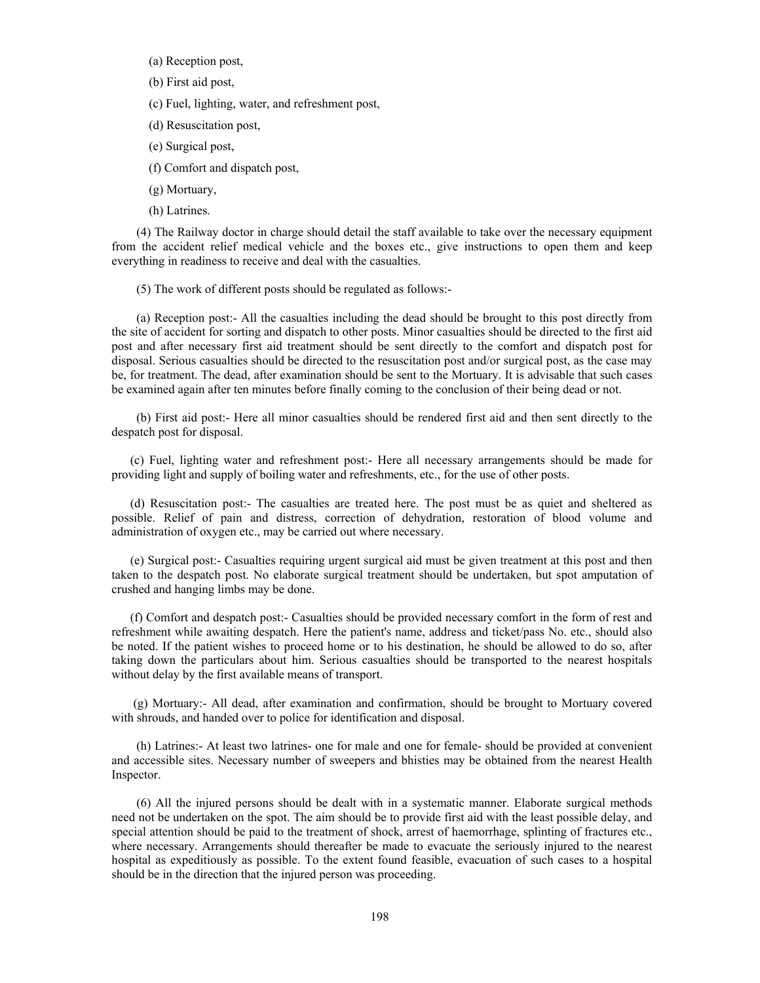- (a) Reception post,
- (b) First aid post,

(c) Fuel, lighting, water, and refreshment post,

- (d) Resuscitation post,
- (e) Surgical post,
- (f) Comfort and dispatch post,
- (g) Mortuary,
- (h) Latrines.

 (4) The Railway doctor in charge should detail the staff available to take over the necessary equipment from the accident relief medical vehicle and the boxes etc., give instructions to open them and keep everything in readiness to receive and deal with the casualties.

(5) The work of different posts should be regulated as follows:-

 (a) Reception post:- All the casualties including the dead should be brought to this post directly from the site of accident for sorting and dispatch to other posts. Minor casualties should be directed to the first aid post and after necessary first aid treatment should be sent directly to the comfort and dispatch post for disposal. Serious casualties should be directed to the resuscitation post and/or surgical post, as the case may be, for treatment. The dead, after examination should be sent to the Mortuary. It is advisable that such cases be examined again after ten minutes before finally coming to the conclusion of their being dead or not.

 (b) First aid post:- Here all minor casualties should be rendered first aid and then sent directly to the despatch post for disposal.

 (c) Fuel, lighting water and refreshment post:- Here all necessary arrangements should be made for providing light and supply of boiling water and refreshments, etc., for the use of other posts.

 (d) Resuscitation post:- The casualties are treated here. The post must be as quiet and sheltered as possible. Relief of pain and distress, correction of dehydration, restoration of blood volume and administration of oxygen etc., may be carried out where necessary.

 (e) Surgical post:- Casualties requiring urgent surgical aid must be given treatment at this post and then taken to the despatch post. No elaborate surgical treatment should be undertaken, but spot amputation of crushed and hanging limbs may be done.

 (f) Comfort and despatch post:- Casualties should be provided necessary comfort in the form of rest and refreshment while awaiting despatch. Here the patient's name, address and ticket/pass No. etc., should also be noted. If the patient wishes to proceed home or to his destination, he should be allowed to do so, after taking down the particulars about him. Serious casualties should be transported to the nearest hospitals without delay by the first available means of transport.

 (g) Mortuary:- All dead, after examination and confirmation, should be brought to Mortuary covered with shrouds, and handed over to police for identification and disposal.

 (h) Latrines:- At least two latrines- one for male and one for female- should be provided at convenient and accessible sites. Necessary number of sweepers and bhisties may be obtained from the nearest Health Inspector.

 (6) All the injured persons should be dealt with in a systematic manner. Elaborate surgical methods need not be undertaken on the spot. The aim should be to provide first aid with the least possible delay, and special attention should be paid to the treatment of shock, arrest of haemorrhage, splinting of fractures etc., where necessary. Arrangements should thereafter be made to evacuate the seriously injured to the nearest hospital as expeditiously as possible. To the extent found feasible, evacuation of such cases to a hospital should be in the direction that the injured person was proceeding.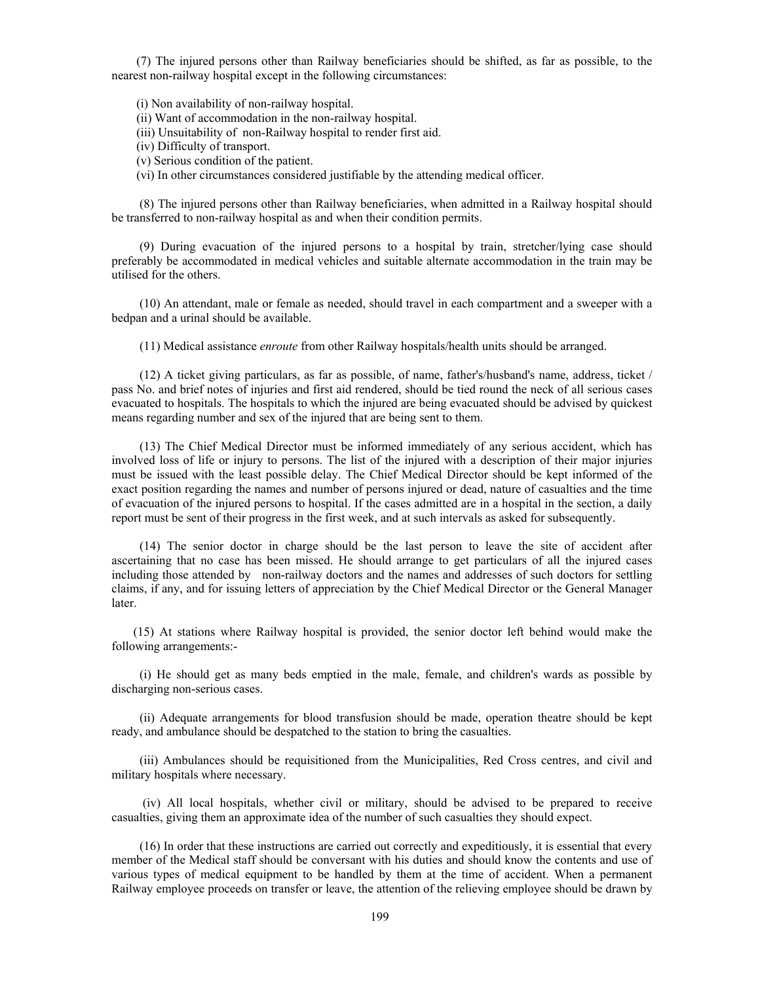(7) The injured persons other than Railway beneficiaries should be shifted, as far as possible, to the nearest non-railway hospital except in the following circumstances:

(i) Non availability of non-railway hospital.

- (ii) Want of accommodation in the non-railway hospital.
- (iii) Unsuitability of non-Railway hospital to render first aid.
- (iv) Difficulty of transport.
- (v) Serious condition of the patient.
- (vi) In other circumstances considered justifiable by the attending medical officer.

 (8) The injured persons other than Railway beneficiaries, when admitted in a Railway hospital should be transferred to non-railway hospital as and when their condition permits.

 (9) During evacuation of the injured persons to a hospital by train, stretcher/lying case should preferably be accommodated in medical vehicles and suitable alternate accommodation in the train may be utilised for the others.

 (10) An attendant, male or female as needed, should travel in each compartment and a sweeper with a bedpan and a urinal should be available.

(11) Medical assistance *enroute* from other Railway hospitals/health units should be arranged.

 (12) A ticket giving particulars, as far as possible, of name, father's/husband's name, address, ticket / pass No. and brief notes of injuries and first aid rendered, should be tied round the neck of all serious cases evacuated to hospitals. The hospitals to which the injured are being evacuated should be advised by quickest means regarding number and sex of the injured that are being sent to them.

 (13) The Chief Medical Director must be informed immediately of any serious accident, which has involved loss of life or injury to persons. The list of the injured with a description of their major injuries must be issued with the least possible delay. The Chief Medical Director should be kept informed of the exact position regarding the names and number of persons injured or dead, nature of casualties and the time of evacuation of the injured persons to hospital. If the cases admitted are in a hospital in the section, a daily report must be sent of their progress in the first week, and at such intervals as asked for subsequently.

 (14) The senior doctor in charge should be the last person to leave the site of accident after ascertaining that no case has been missed. He should arrange to get particulars of all the injured cases including those attended by non-railway doctors and the names and addresses of such doctors for settling claims, if any, and for issuing letters of appreciation by the Chief Medical Director or the General Manager later.

 (15) At stations where Railway hospital is provided, the senior doctor left behind would make the following arrangements:-

 (i) He should get as many beds emptied in the male, female, and children's wards as possible by discharging non-serious cases.

 (ii) Adequate arrangements for blood transfusion should be made, operation theatre should be kept ready, and ambulance should be despatched to the station to bring the casualties.

 (iii) Ambulances should be requisitioned from the Municipalities, Red Cross centres, and civil and military hospitals where necessary.

 (iv) All local hospitals, whether civil or military, should be advised to be prepared to receive casualties, giving them an approximate idea of the number of such casualties they should expect.

 (16) In order that these instructions are carried out correctly and expeditiously, it is essential that every member of the Medical staff should be conversant with his duties and should know the contents and use of various types of medical equipment to be handled by them at the time of accident. When a permanent Railway employee proceeds on transfer or leave, the attention of the relieving employee should be drawn by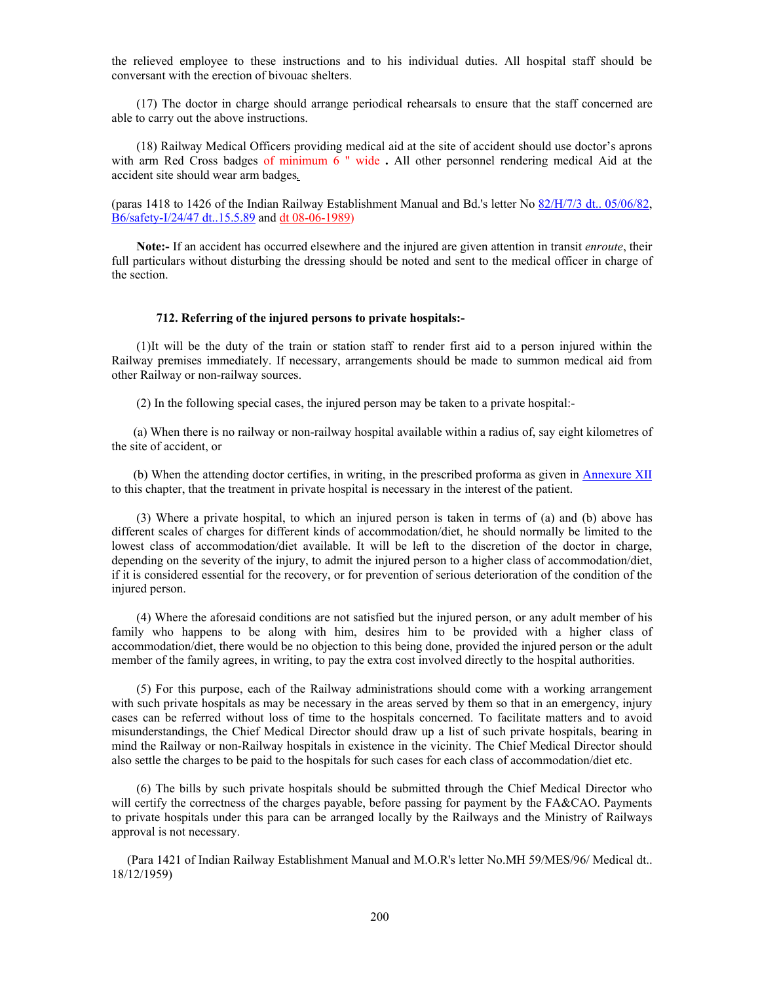the relieved employee to these instructions and to his individual duties. All hospital staff should be conversant with the erection of bivouac shelters.

 (17) The doctor in charge should arrange periodical rehearsals to ensure that the staff concerned are able to carry out the above instructions.

 (18) Railway Medical Officers providing medical aid at the site of accident should use doctor's aprons with arm Red Cross badges of minimum 6 " wide **.** All other personnel rendering medical Aid at the accident site should wear arm badges*.*

(paras 1418 to 1426 of the Indian Railway Establishment Manual and Bd.'s letter No 82/H/7/3 dt.. 05/06/82, B6/safety-I/24/47 dt..15.5.89 and dt 08-06-1989)

 **Note:-** If an accident has occurred elsewhere and the injured are given attention in transit *enroute*, their full particulars without disturbing the dressing should be noted and sent to the medical officer in charge of the section.

#### **712. Referring of the injured persons to private hospitals:-**

 (1)It will be the duty of the train or station staff to render first aid to a person injured within the Railway premises immediately. If necessary, arrangements should be made to summon medical aid from other Railway or non-railway sources.

(2) In the following special cases, the injured person may be taken to a private hospital:-

 (a) When there is no railway or non-railway hospital available within a radius of, say eight kilometres of the site of accident, or

 (b) When the attending doctor certifies, in writing, in the prescribed proforma as given in Annexure XII to this chapter, that the treatment in private hospital is necessary in the interest of the patient.

 (3) Where a private hospital, to which an injured person is taken in terms of (a) and (b) above has different scales of charges for different kinds of accommodation/diet, he should normally be limited to the lowest class of accommodation/diet available. It will be left to the discretion of the doctor in charge, depending on the severity of the injury, to admit the injured person to a higher class of accommodation/diet, if it is considered essential for the recovery, or for prevention of serious deterioration of the condition of the injured person.

 (4) Where the aforesaid conditions are not satisfied but the injured person, or any adult member of his family who happens to be along with him, desires him to be provided with a higher class of accommodation/diet, there would be no objection to this being done, provided the injured person or the adult member of the family agrees, in writing, to pay the extra cost involved directly to the hospital authorities.

 (5) For this purpose, each of the Railway administrations should come with a working arrangement with such private hospitals as may be necessary in the areas served by them so that in an emergency, injury cases can be referred without loss of time to the hospitals concerned. To facilitate matters and to avoid misunderstandings, the Chief Medical Director should draw up a list of such private hospitals, bearing in mind the Railway or non-Railway hospitals in existence in the vicinity. The Chief Medical Director should also settle the charges to be paid to the hospitals for such cases for each class of accommodation/diet etc.

 (6) The bills by such private hospitals should be submitted through the Chief Medical Director who will certify the correctness of the charges payable, before passing for payment by the FA&CAO. Payments to private hospitals under this para can be arranged locally by the Railways and the Ministry of Railways approval is not necessary.

 (Para 1421 of Indian Railway Establishment Manual and M.O.R's letter No.MH 59/MES/96/ Medical dt.. 18/12/1959)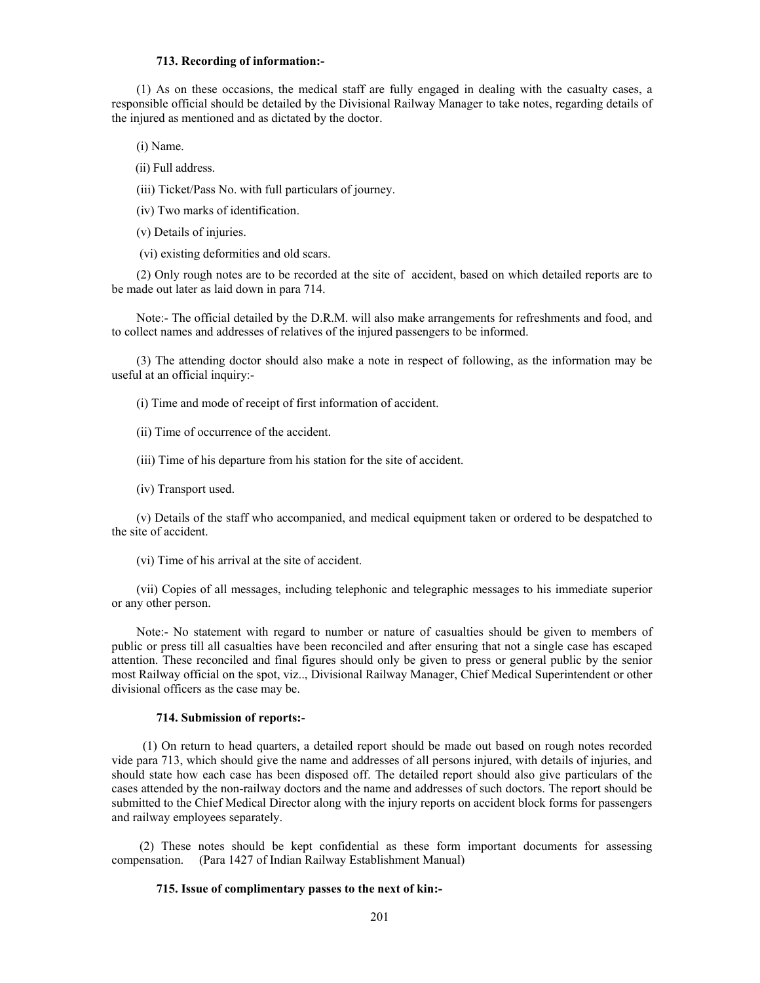### **713. Recording of information:-**

 (1) As on these occasions, the medical staff are fully engaged in dealing with the casualty cases, a responsible official should be detailed by the Divisional Railway Manager to take notes, regarding details of the injured as mentioned and as dictated by the doctor.

(i) Name.

- (ii) Full address.
- (iii) Ticket/Pass No. with full particulars of journey.
- (iv) Two marks of identification.
- (v) Details of injuries.
- (vi) existing deformities and old scars.

 (2) Only rough notes are to be recorded at the site of accident, based on which detailed reports are to be made out later as laid down in para 714.

 Note:- The official detailed by the D.R.M. will also make arrangements for refreshments and food, and to collect names and addresses of relatives of the injured passengers to be informed.

 (3) The attending doctor should also make a note in respect of following, as the information may be useful at an official inquiry:-

(i) Time and mode of receipt of first information of accident.

- (ii) Time of occurrence of the accident.
- (iii) Time of his departure from his station for the site of accident.
- (iv) Transport used.

 (v) Details of the staff who accompanied, and medical equipment taken or ordered to be despatched to the site of accident.

(vi) Time of his arrival at the site of accident.

 (vii) Copies of all messages, including telephonic and telegraphic messages to his immediate superior or any other person.

 Note:- No statement with regard to number or nature of casualties should be given to members of public or press till all casualties have been reconciled and after ensuring that not a single case has escaped attention. These reconciled and final figures should only be given to press or general public by the senior most Railway official on the spot, viz.., Divisional Railway Manager, Chief Medical Superintendent or other divisional officers as the case may be.

#### **714. Submission of reports:**-

 (1) On return to head quarters, a detailed report should be made out based on rough notes recorded vide para 713, which should give the name and addresses of all persons injured, with details of injuries, and should state how each case has been disposed off. The detailed report should also give particulars of the cases attended by the non-railway doctors and the name and addresses of such doctors. The report should be submitted to the Chief Medical Director along with the injury reports on accident block forms for passengers and railway employees separately.

 (2) These notes should be kept confidential as these form important documents for assessing compensation. (Para 1427 of Indian Railway Establishment Manual)

#### **715. Issue of complimentary passes to the next of kin:-**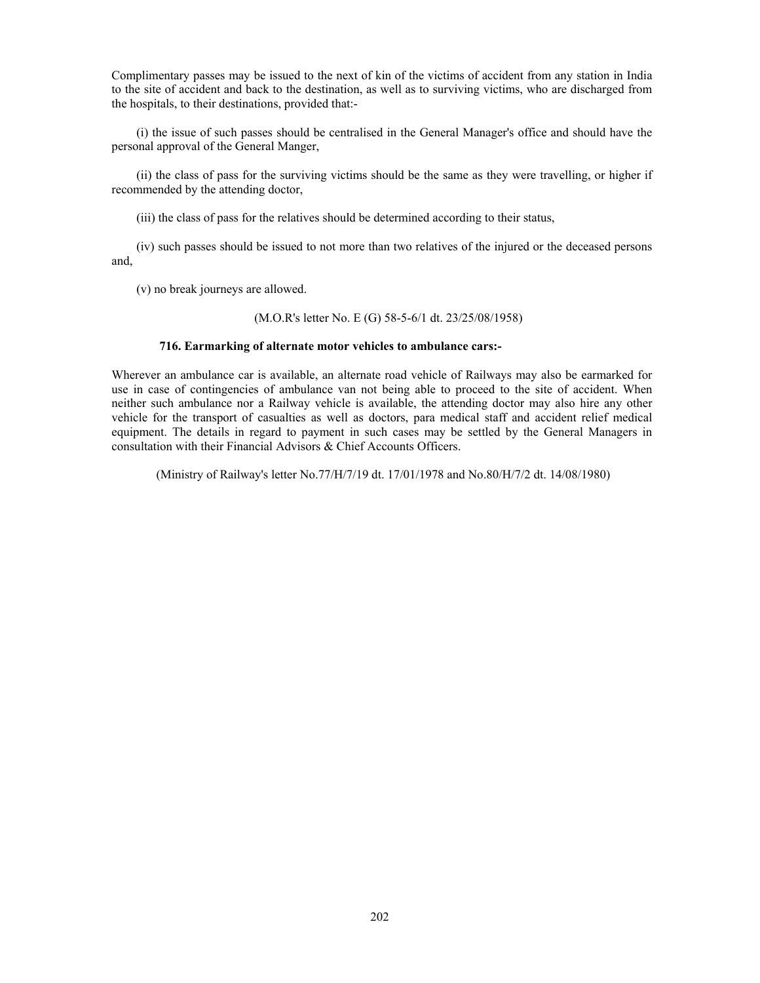Complimentary passes may be issued to the next of kin of the victims of accident from any station in India to the site of accident and back to the destination, as well as to surviving victims, who are discharged from the hospitals, to their destinations, provided that:-

 (i) the issue of such passes should be centralised in the General Manager's office and should have the personal approval of the General Manger,

 (ii) the class of pass for the surviving victims should be the same as they were travelling, or higher if recommended by the attending doctor,

(iii) the class of pass for the relatives should be determined according to their status,

 (iv) such passes should be issued to not more than two relatives of the injured or the deceased persons and,

(v) no break journeys are allowed.

### (M.O.R's letter No. E (G) 58-5-6/1 dt. 23/25/08/1958)

### **716. Earmarking of alternate motor vehicles to ambulance cars:-**

Wherever an ambulance car is available, an alternate road vehicle of Railways may also be earmarked for use in case of contingencies of ambulance van not being able to proceed to the site of accident. When neither such ambulance nor a Railway vehicle is available, the attending doctor may also hire any other vehicle for the transport of casualties as well as doctors, para medical staff and accident relief medical equipment. The details in regard to payment in such cases may be settled by the General Managers in consultation with their Financial Advisors & Chief Accounts Officers.

(Ministry of Railway's letter No.77/H/7/19 dt. 17/01/1978 and No.80/H/7/2 dt. 14/08/1980)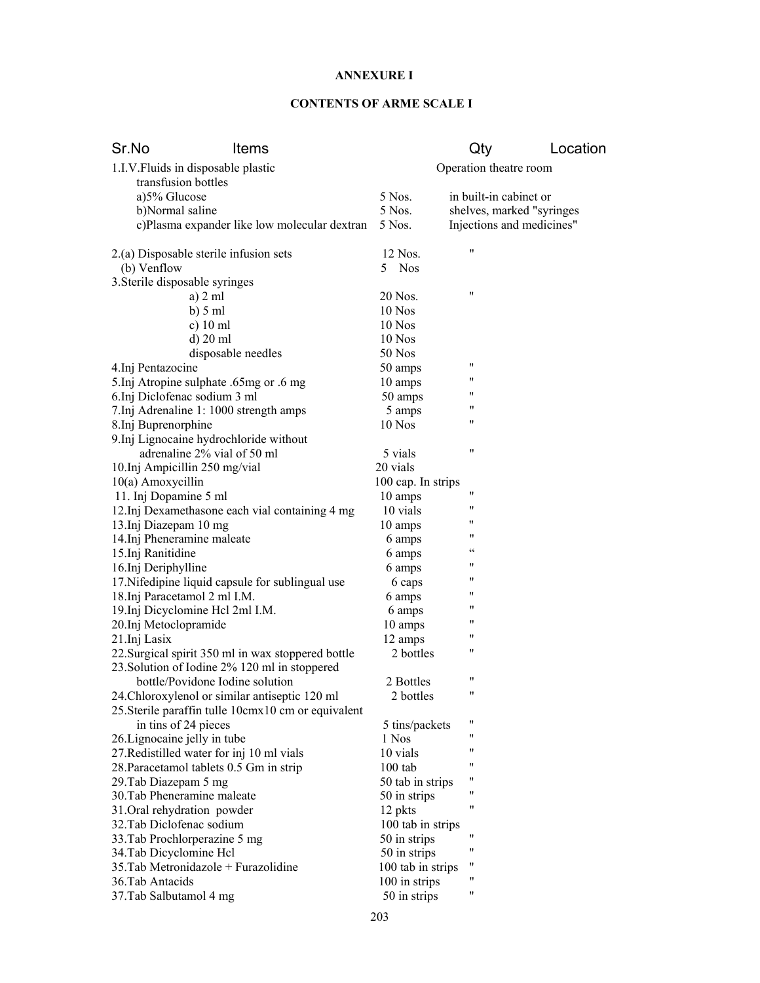# **ANNEXURE I**

# **CONTENTS OF ARME SCALE I**

| Sr.No                               | Items                                               |                    | Qty                                               | Location |
|-------------------------------------|-----------------------------------------------------|--------------------|---------------------------------------------------|----------|
| 1.I.V. Fluids in disposable plastic |                                                     |                    | Operation theatre room                            |          |
| transfusion bottles                 |                                                     |                    |                                                   |          |
| a)5% Glucose                        |                                                     | 5 Nos.             | in built-in cabinet or                            |          |
| b)Normal saline                     |                                                     | 5 Nos.             | shelves, marked "syringes                         |          |
|                                     | c)Plasma expander like low molecular dextran        | 5 Nos.             | Injections and medicines"                         |          |
|                                     | 2.(a) Disposable sterile infusion sets              | 12 Nos.            | 11                                                |          |
| (b) Venflow                         |                                                     | 5 Nos              |                                                   |          |
| 3. Sterile disposable syringes      |                                                     |                    |                                                   |          |
|                                     | a) 2 ml                                             | 20 Nos.            | 11                                                |          |
|                                     | $b)$ 5 ml                                           | 10 Nos             |                                                   |          |
|                                     | c) $10$ ml                                          | 10 Nos             |                                                   |          |
|                                     | d) 20 ml                                            | 10 Nos             |                                                   |          |
|                                     | disposable needles                                  | 50 Nos             |                                                   |          |
| 4.Inj Pentazocine                   |                                                     | 50 amps            | 11                                                |          |
|                                     | 5. Inj Atropine sulphate .65mg or .6 mg             | 10 amps            | 11                                                |          |
| 6.Inj Diclofenac sodium 3 ml        |                                                     | 50 amps            | 11                                                |          |
|                                     | 7.Inj Adrenaline 1: 1000 strength amps              | 5 amps             | "                                                 |          |
| 8.Inj Buprenorphine                 |                                                     | 10 Nos             | 11                                                |          |
|                                     | 9. Inj Lignocaine hydrochloride without             |                    |                                                   |          |
|                                     | adrenaline 2% vial of 50 ml                         | 5 vials            | 11                                                |          |
| 10.Inj Ampicillin 250 mg/vial       |                                                     | 20 vials           |                                                   |          |
| 10(a) Amoxycillin                   |                                                     | 100 cap. In strips |                                                   |          |
| 11. Inj Dopamine 5 ml               |                                                     | 10 amps            | 11                                                |          |
|                                     | 12. Inj Dexamethasone each vial containing 4 mg     | 10 vials           | 11                                                |          |
| 13.Inj Diazepam 10 mg               |                                                     | 10 amps            | "                                                 |          |
| 14. Inj Pheneramine maleate         |                                                     | 6 amps             | "                                                 |          |
| 15.Inj Ranitidine                   |                                                     | 6 amps             | $\boldsymbol{\varsigma}$ $\boldsymbol{\varsigma}$ |          |
| 16.Inj Deriphylline                 |                                                     | 6 amps             | 11                                                |          |
|                                     | 17. Nifedipine liquid capsule for sublingual use    | 6 caps             | "                                                 |          |
| 18. Inj Paracetamol 2 ml I.M.       |                                                     | 6 amps             | "                                                 |          |
|                                     | 19. Inj Dicyclomine Hel 2ml I.M.                    | 6 amps             | "                                                 |          |
| 20.Inj Metoclopramide               |                                                     | 10 amps            | "                                                 |          |
| 21.Inj Lasix                        |                                                     | 12 amps            | 11                                                |          |
|                                     | 22. Surgical spirit 350 ml in wax stoppered bottle  | 2 bottles          | "                                                 |          |
|                                     | 23. Solution of Iodine 2% 120 ml in stoppered       |                    |                                                   |          |
|                                     | bottle/Povidone Iodine solution                     | 2 Bottles          | "                                                 |          |
|                                     | 24. Chloroxylenol or similar antiseptic 120 ml      | 2 bottles          | "                                                 |          |
|                                     | 25. Sterile paraffin tulle 10cmx10 cm or equivalent |                    |                                                   |          |
| in tins of 24 pieces                |                                                     | 5 tins/packets     | Ħ<br>"                                            |          |
| 26. Lignocaine jelly in tube        |                                                     | 1 Nos              |                                                   |          |
|                                     | 27. Redistilled water for inj 10 ml vials           | 10 vials           | "<br>11                                           |          |
|                                     | 28. Paracetamol tablets 0.5 Gm in strip             | $100$ tab          |                                                   |          |
| 29. Tab Diazepam 5 mg               |                                                     | 50 tab in strips   | 11                                                |          |
| 30. Tab Pheneramine maleate         |                                                     | 50 in strips       | 11                                                |          |
| 31. Oral rehydration powder         |                                                     | 12 pkts            | 11                                                |          |
| 32. Tab Diclofenac sodium           |                                                     | 100 tab in strips  |                                                   |          |
| 33. Tab Prochlorperazine 5 mg       |                                                     | 50 in strips       | 11<br>11                                          |          |
| 34. Tab Dicyclomine Hcl             |                                                     | 50 in strips       | 11                                                |          |
|                                     | 35. Tab Metronidazole + Furazolidine                | 100 tab in strips  | "                                                 |          |
| 36. Tab Antacids                    |                                                     | 100 in strips      | Ħ                                                 |          |
| 37. Tab Salbutamol 4 mg             |                                                     | 50 in strips       |                                                   |          |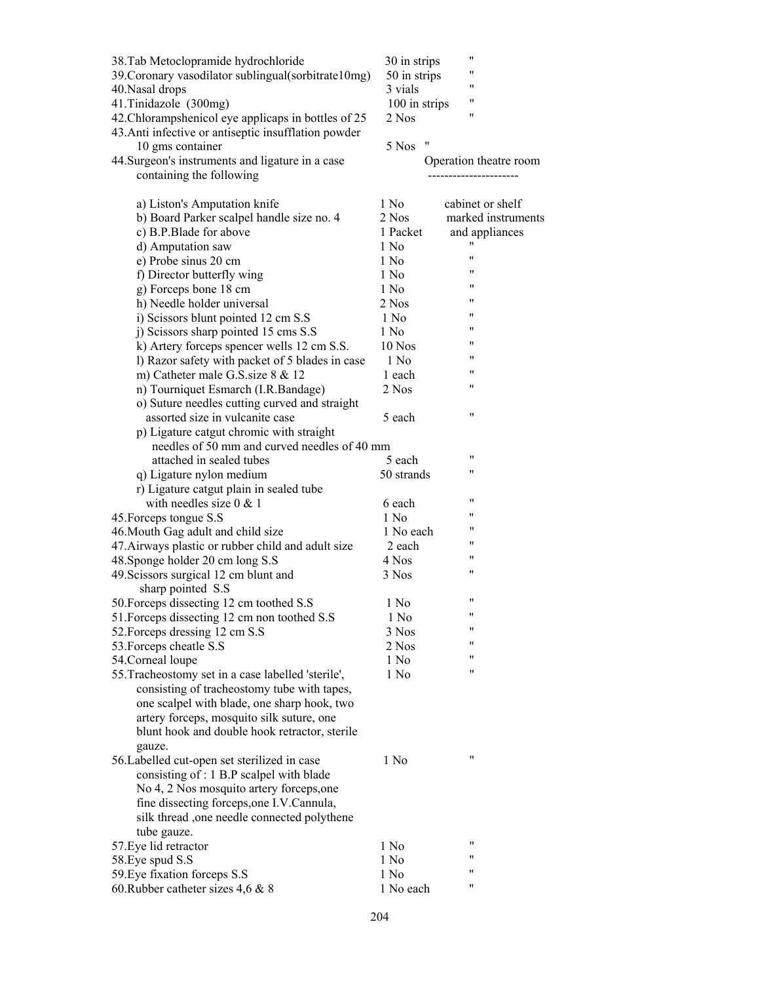| 38. Tab Metoclopramide hydrochloride<br>39. Coronary vasodilator sublingual(sorbitrate10mg)<br>40. Nasal drops<br>41. Tinidazole (300mg)<br>42. Chlorampshenicol eye applicaps in bottles of 25<br>43. Anti infective or antiseptic insufflation powder<br>10 gms container<br>44. Surgeon's instruments and ligature in a case<br>containing the following | 30 in strips<br>50 in strips<br>3 vials<br>100 in strips<br>2 Nos<br>"<br>5 Nos | 11<br>11<br>"<br>"<br>11<br>Operation theatre room |
|-------------------------------------------------------------------------------------------------------------------------------------------------------------------------------------------------------------------------------------------------------------------------------------------------------------------------------------------------------------|---------------------------------------------------------------------------------|----------------------------------------------------|
| a) Liston's Amputation knife                                                                                                                                                                                                                                                                                                                                | 1 No                                                                            | cabinet or shelf                                   |
| b) Board Parker scalpel handle size no. 4                                                                                                                                                                                                                                                                                                                   | 2 Nos                                                                           | marked instruments                                 |
| c) B.P.Blade for above                                                                                                                                                                                                                                                                                                                                      | 1 Packet                                                                        | and appliances                                     |
| d) Amputation saw                                                                                                                                                                                                                                                                                                                                           | 1 No                                                                            | 11                                                 |
| e) Probe sinus 20 cm                                                                                                                                                                                                                                                                                                                                        | 1 No                                                                            | 11                                                 |
| f) Director butterfly wing                                                                                                                                                                                                                                                                                                                                  | 1 No                                                                            | "                                                  |
| g) Forceps bone 18 cm                                                                                                                                                                                                                                                                                                                                       | 1 No                                                                            | 11                                                 |
| h) Needle holder universal                                                                                                                                                                                                                                                                                                                                  | 2 Nos                                                                           | 11                                                 |
| i) Scissors blunt pointed 12 cm S.S                                                                                                                                                                                                                                                                                                                         | 1 No                                                                            | 11                                                 |
| j) Scissors sharp pointed 15 cms S.S                                                                                                                                                                                                                                                                                                                        | 1 No                                                                            | "                                                  |
| k) Artery forceps spencer wells 12 cm S.S.                                                                                                                                                                                                                                                                                                                  | 10 Nos                                                                          | "                                                  |
| l) Razor safety with packet of 5 blades in case                                                                                                                                                                                                                                                                                                             | 1 No                                                                            | "<br>11                                            |
| m) Catheter male G.S. size 8 & 12                                                                                                                                                                                                                                                                                                                           | 1 each                                                                          | 11                                                 |
| n) Tourniquet Esmarch (I.R.Bandage)                                                                                                                                                                                                                                                                                                                         | 2 Nos                                                                           |                                                    |
| o) Suture needles cutting curved and straight<br>assorted size in vulcanite case                                                                                                                                                                                                                                                                            | 5 each                                                                          | 11                                                 |
| p) Ligature catgut chromic with straight                                                                                                                                                                                                                                                                                                                    |                                                                                 |                                                    |
| needles of 50 mm and curved needles of 40 mm                                                                                                                                                                                                                                                                                                                |                                                                                 |                                                    |
| attached in sealed tubes                                                                                                                                                                                                                                                                                                                                    | 5 each                                                                          | 11                                                 |
| q) Ligature nylon medium                                                                                                                                                                                                                                                                                                                                    | 50 strands                                                                      | 11                                                 |
| r) Ligature catgut plain in sealed tube                                                                                                                                                                                                                                                                                                                     |                                                                                 |                                                    |
| with needles size $0 < 1$                                                                                                                                                                                                                                                                                                                                   | 6 each                                                                          | 11                                                 |
| 45. Forceps tongue S.S                                                                                                                                                                                                                                                                                                                                      | $1$ No                                                                          | 11                                                 |
| 46. Mouth Gag adult and child size                                                                                                                                                                                                                                                                                                                          | 1 No each                                                                       | "                                                  |
| 47. Airways plastic or rubber child and adult size                                                                                                                                                                                                                                                                                                          | 2 each                                                                          | "                                                  |
| 48. Sponge holder 20 cm long S.S                                                                                                                                                                                                                                                                                                                            | 4 Nos                                                                           | 11                                                 |
| 49. Scissors surgical 12 cm blunt and                                                                                                                                                                                                                                                                                                                       | 3 Nos                                                                           | 11                                                 |
| sharp pointed S.S                                                                                                                                                                                                                                                                                                                                           |                                                                                 |                                                    |
| 50. Forceps dissecting 12 cm toothed S.S                                                                                                                                                                                                                                                                                                                    | 1 No                                                                            | 11                                                 |
| 51. Forceps dissecting 12 cm non toothed S.S                                                                                                                                                                                                                                                                                                                | 1 No                                                                            | 11<br>11                                           |
| 52. Forceps dressing 12 cm S.S                                                                                                                                                                                                                                                                                                                              | 3 Nos                                                                           | 11                                                 |
| 53. Forceps cheatle S.S                                                                                                                                                                                                                                                                                                                                     | 2 Nos                                                                           | 11                                                 |
| 54. Corneal loupe                                                                                                                                                                                                                                                                                                                                           | 1 No<br>1 No                                                                    | 11                                                 |
| 55. Tracheostomy set in a case labelled 'sterile',<br>consisting of tracheostomy tube with tapes,                                                                                                                                                                                                                                                           |                                                                                 |                                                    |
| one scalpel with blade, one sharp hook, two                                                                                                                                                                                                                                                                                                                 |                                                                                 |                                                    |
| artery forceps, mosquito silk suture, one                                                                                                                                                                                                                                                                                                                   |                                                                                 |                                                    |
| blunt hook and double hook retractor, sterile                                                                                                                                                                                                                                                                                                               |                                                                                 |                                                    |
| gauze.                                                                                                                                                                                                                                                                                                                                                      |                                                                                 |                                                    |
| 56. Labelled cut-open set sterilized in case                                                                                                                                                                                                                                                                                                                | 1 No                                                                            | $^{\prime\prime}$                                  |
| consisting of : 1 B.P scalpel with blade                                                                                                                                                                                                                                                                                                                    |                                                                                 |                                                    |
| No 4, 2 Nos mosquito artery forceps, one                                                                                                                                                                                                                                                                                                                    |                                                                                 |                                                    |
| fine dissecting forceps, one I.V. Cannula,                                                                                                                                                                                                                                                                                                                  |                                                                                 |                                                    |
| silk thread ,one needle connected polythene                                                                                                                                                                                                                                                                                                                 |                                                                                 |                                                    |
| tube gauze.                                                                                                                                                                                                                                                                                                                                                 |                                                                                 |                                                    |
| 57. Eye lid retractor                                                                                                                                                                                                                                                                                                                                       | 1 No                                                                            | "                                                  |
| 58. Eye spud S.S                                                                                                                                                                                                                                                                                                                                            | 1 No                                                                            | 11<br>11                                           |
| 59. Eye fixation forceps S.S                                                                                                                                                                                                                                                                                                                                | 1 No                                                                            | 11                                                 |
| 60. Rubber catheter sizes $4,6 \& 8$                                                                                                                                                                                                                                                                                                                        | 1 No each                                                                       |                                                    |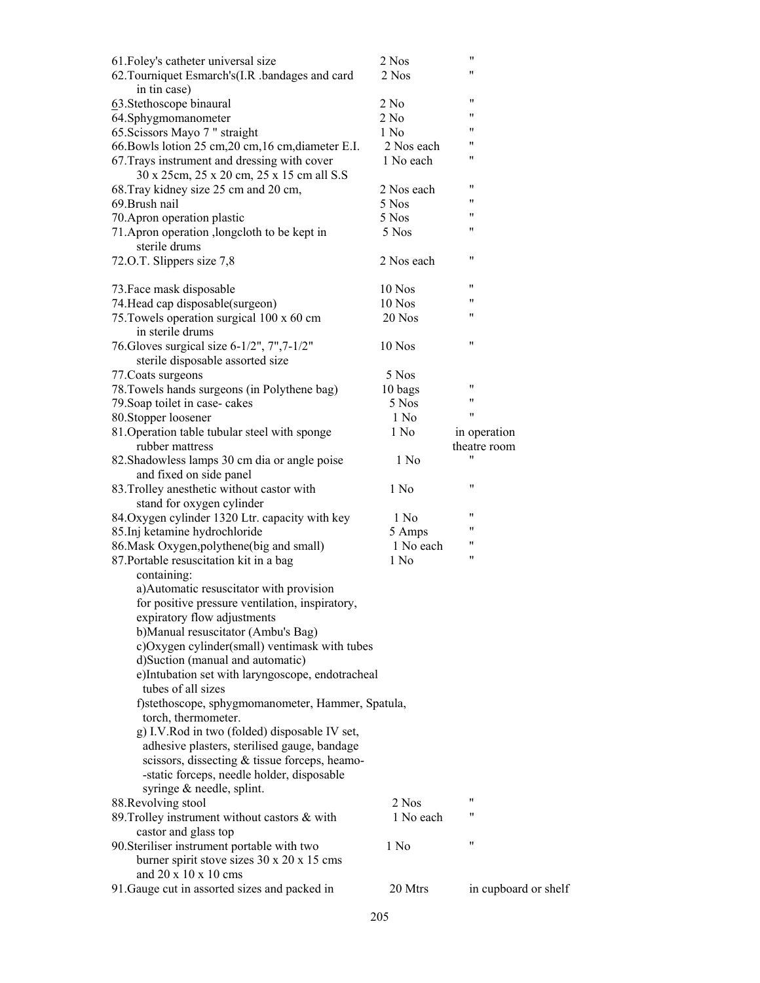| 61. Foley's catheter universal size                 | 2 Nos      | 11                   |
|-----------------------------------------------------|------------|----------------------|
| 62. Tourniquet Esmarch's(I.R. bandages and card     | 2 Nos      | 11                   |
| in tin case)                                        |            |                      |
| 63. Stethoscope binaural                            | 2 No       | "                    |
| 64.Sphygmomanometer                                 | 2 No       | 11                   |
|                                                     | 1 No       | "                    |
| 65. Scissors Mayo 7 " straight                      |            | "                    |
| 66. Bowls lotion 25 cm, 20 cm, 16 cm, diameter E.I. | 2 Nos each | "                    |
| 67. Trays instrument and dressing with cover        | 1 No each  |                      |
| 30 x 25cm, 25 x 20 cm, 25 x 15 cm all S.S           |            |                      |
| 68. Tray kidney size 25 cm and 20 cm,               | 2 Nos each | "                    |
| 69. Brush nail                                      | 5 Nos      | 11                   |
| 70. Apron operation plastic                         | 5 Nos      | "                    |
| 71. Apron operation , longcloth to be kept in       | 5 Nos      | 11                   |
| sterile drums                                       |            |                      |
| 72.O.T. Slippers size 7,8                           | 2 Nos each | "                    |
|                                                     |            |                      |
| 73. Face mask disposable                            | 10 Nos     | 11                   |
| 74. Head cap disposable(surgeon)                    | 10 Nos     | 11                   |
| 75. Towels operation surgical 100 x 60 cm           | 20 Nos     | 11                   |
| in sterile drums                                    |            |                      |
| 76. Gloves surgical size 6-1/2", 7", 7-1/2"         | 10 Nos     | 11                   |
| sterile disposable assorted size                    |            |                      |
|                                                     |            |                      |
| 77. Coats surgeons                                  | 5 Nos      | 11                   |
| 78. Towels hands surgeons (in Polythene bag)        | 10 bags    | 11                   |
| 79. Soap toilet in case-cakes                       | 5 Nos      | "                    |
| 80.Stopper loosener                                 | 1 No       |                      |
| 81. Operation table tubular steel with sponge       | 1 No       | in operation         |
| rubber mattress                                     |            | theatre room         |
| 82. Shadowless lamps 30 cm dia or angle poise       | 1 No       |                      |
| and fixed on side panel                             |            |                      |
| 83. Trolley anesthetic without castor with          | 1 No       | $^{\prime\prime}$    |
| stand for oxygen cylinder                           |            |                      |
| 84. Oxygen cylinder 1320 Ltr. capacity with key     | 1 No       | 11                   |
| 85. Inj ketamine hydrochloride                      | 5 Amps     | "                    |
| 86. Mask Oxygen, polythene (big and small)          | 1 No each  | 11                   |
| 87. Portable resuscitation kit in a bag             | 1 No       | 11                   |
| containing:                                         |            |                      |
| a) Automatic resuscitator with provision            |            |                      |
| for positive pressure ventilation, inspiratory,     |            |                      |
| expiratory flow adjustments                         |            |                      |
| b) Manual resuscitator (Ambu's Bag)                 |            |                      |
| c)Oxygen cylinder(small) ventimask with tubes       |            |                      |
| d)Suction (manual and automatic)                    |            |                      |
|                                                     |            |                      |
| e)Intubation set with laryngoscope, endotracheal    |            |                      |
| tubes of all sizes                                  |            |                      |
| f)stethoscope, sphygmomanometer, Hammer, Spatula,   |            |                      |
| torch, thermometer.                                 |            |                      |
| g) I.V.Rod in two (folded) disposable IV set,       |            |                      |
| adhesive plasters, sterilised gauge, bandage        |            |                      |
| scissors, dissecting & tissue forceps, heamo-       |            |                      |
| -static forceps, needle holder, disposable          |            |                      |
| syringe & needle, splint.                           |            |                      |
| 88. Revolving stool                                 | 2 Nos      | 11                   |
| 89. Trolley instrument without castors & with       | 1 No each  | "                    |
| castor and glass top                                |            |                      |
| 90. Steriliser instrument portable with two         | 1 No       | 11                   |
| burner spirit stove sizes 30 x 20 x 15 cms          |            |                      |
| and $20 \times 10 \times 10$ cms                    |            |                      |
| 91. Gauge cut in assorted sizes and packed in       | 20 Mtrs    | in cupboard or shelf |
|                                                     |            |                      |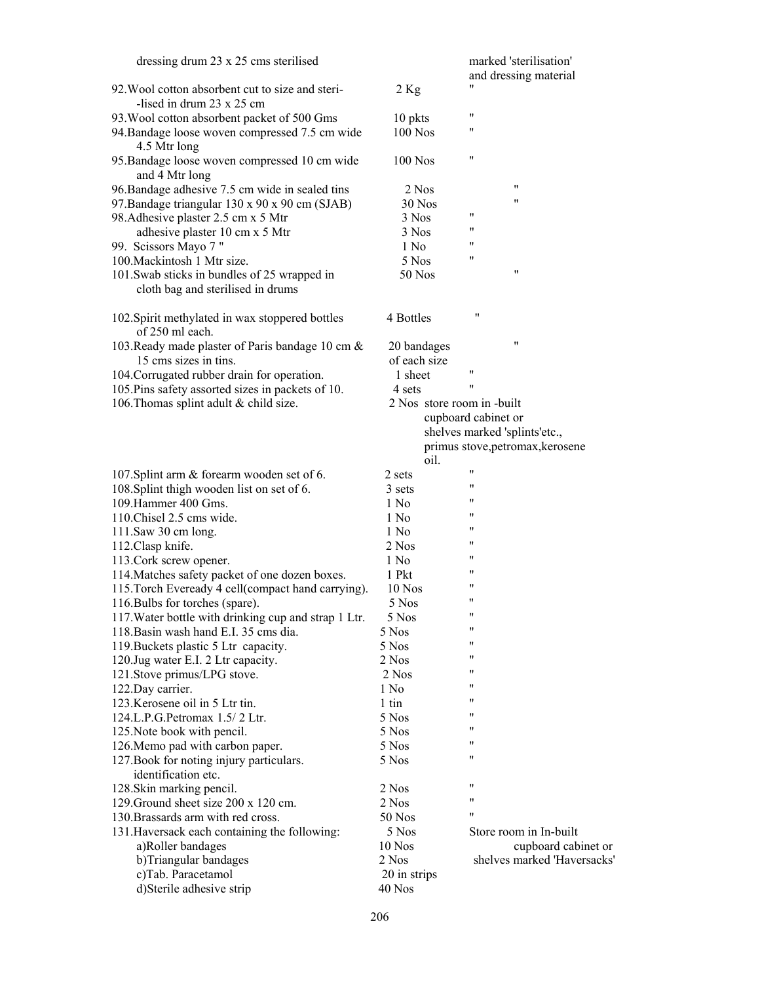| dressing drum 23 x 25 cms sterilised                                                          |                            | marked 'sterilisation'<br>and dressing material |
|-----------------------------------------------------------------------------------------------|----------------------------|-------------------------------------------------|
| 92. Wool cotton absorbent cut to size and steri-                                              | $2$ Kg                     | "                                               |
| -lised in drum $23 \times 25$ cm                                                              |                            | 11                                              |
| 93. Wool cotton absorbent packet of 500 Gms                                                   | 10 pkts                    |                                                 |
| 94. Bandage loose woven compressed 7.5 cm wide<br>4.5 Mtr long                                | 100 Nos                    | 11                                              |
| 95. Bandage loose woven compressed 10 cm wide<br>and 4 Mtr long                               | $100$ Nos                  | 11                                              |
| 96. Bandage adhesive 7.5 cm wide in sealed tins                                               | 2 Nos                      | $^{\prime}$                                     |
| 97. Bandage triangular 130 x 90 x 90 cm (SJAB)                                                | 30 Nos                     | 11                                              |
| 98. Adhesive plaster 2.5 cm x 5 Mtr                                                           | 3 Nos                      | "                                               |
| adhesive plaster 10 cm x 5 Mtr                                                                | 3 Nos                      | "                                               |
|                                                                                               | 1 No                       | "                                               |
| 99. Scissors Mayo 7"<br>100. Mackintosh 1 Mtr size.                                           |                            | "                                               |
|                                                                                               | 5 Nos                      | 11                                              |
| 101. Swab sticks in bundles of 25 wrapped in<br>cloth bag and sterilised in drums             | 50 Nos                     |                                                 |
| 102. Spirit methylated in wax stoppered bottles<br>of 250 ml each.                            | 4 Bottles                  | 11                                              |
| 103. Ready made plaster of Paris bandage 10 cm &                                              | 20 bandages                | 11                                              |
| 15 cms sizes in tins.                                                                         | of each size               |                                                 |
| 104. Corrugated rubber drain for operation.                                                   | 1 sheet                    | 11                                              |
| 105. Pins safety assorted sizes in packets of 10.                                             | 4 sets                     | 11                                              |
| 106. Thomas splint adult & child size.                                                        | 2 Nos store room in -built |                                                 |
|                                                                                               |                            | cupboard cabinet or                             |
|                                                                                               |                            | shelves marked 'splints'etc.,                   |
|                                                                                               |                            | primus stove, petromax, kerosene                |
|                                                                                               | oil.                       |                                                 |
| 107. Splint arm & forearm wooden set of 6.                                                    | 2 sets                     | "                                               |
| 108. Splint thigh wooden list on set of 6.                                                    | 3 sets                     | 11                                              |
| 109. Hammer 400 Gms.                                                                          | 1 No                       | 11                                              |
| 110. Chisel 2.5 cms wide.                                                                     | 1 No                       | "                                               |
| 111.Saw 30 cm long.                                                                           | 1 No                       | 11                                              |
| 112. Clasp knife.                                                                             | 2 Nos                      | 11                                              |
| 113. Cork screw opener.                                                                       | 1 No                       | 11                                              |
| 114. Matches safety packet of one dozen boxes.                                                | 1 Pkt                      | "                                               |
| 115. Torch Eveready 4 cell(compact hand carrying).                                            | 10 Nos                     | 11                                              |
| 116. Bulbs for torches (spare).                                                               | 5 Nos                      | 11                                              |
|                                                                                               | 5 Nos                      | 11                                              |
| 117. Water bottle with drinking cup and strap 1 Ltr.<br>118. Basin wash hand E.I. 35 cms dia. | 5 Nos                      | 11                                              |
|                                                                                               | 5 Nos                      | "                                               |
| 119. Buckets plastic 5 Ltr capacity.<br>120. Jug water E.I. 2 Ltr capacity.                   |                            | "                                               |
|                                                                                               | 2 Nos<br>2 Nos             | "                                               |
| 121. Stove primus/LPG stove.<br>122. Day carrier.                                             | 1 No                       | 11                                              |
| 123. Kerosene oil in 5 Ltr tin.                                                               | $1 \text{ tin}$            | "                                               |
| 124.L.P.G.Petromax 1.5/2 Ltr.                                                                 | 5 Nos                      | 11                                              |
| 125. Note book with pencil.                                                                   | 5 Nos                      | "                                               |
| 126. Memo pad with carbon paper.                                                              | 5 Nos                      | "                                               |
| 127. Book for noting injury particulars.                                                      | 5 Nos                      | 11                                              |
| identification etc.                                                                           |                            |                                                 |
|                                                                                               |                            | 11                                              |
| 128. Skin marking pencil.<br>129. Ground sheet size 200 x 120 cm.                             | 2 Nos<br>2 Nos             | 11                                              |
| 130. Brassards arm with red cross.                                                            | 50 Nos                     | 11                                              |
| 131. Haversack each containing the following:                                                 | 5 Nos                      | Store room in In-built                          |
|                                                                                               | 10 Nos                     | cupboard cabinet or                             |
| a)Roller bandages                                                                             | 2 Nos                      | shelves marked 'Haversacks'                     |
| b)Triangular bandages<br>c)Tab. Paracetamol                                                   | 20 in strips               |                                                 |
| d)Sterile adhesive strip                                                                      | 40 Nos                     |                                                 |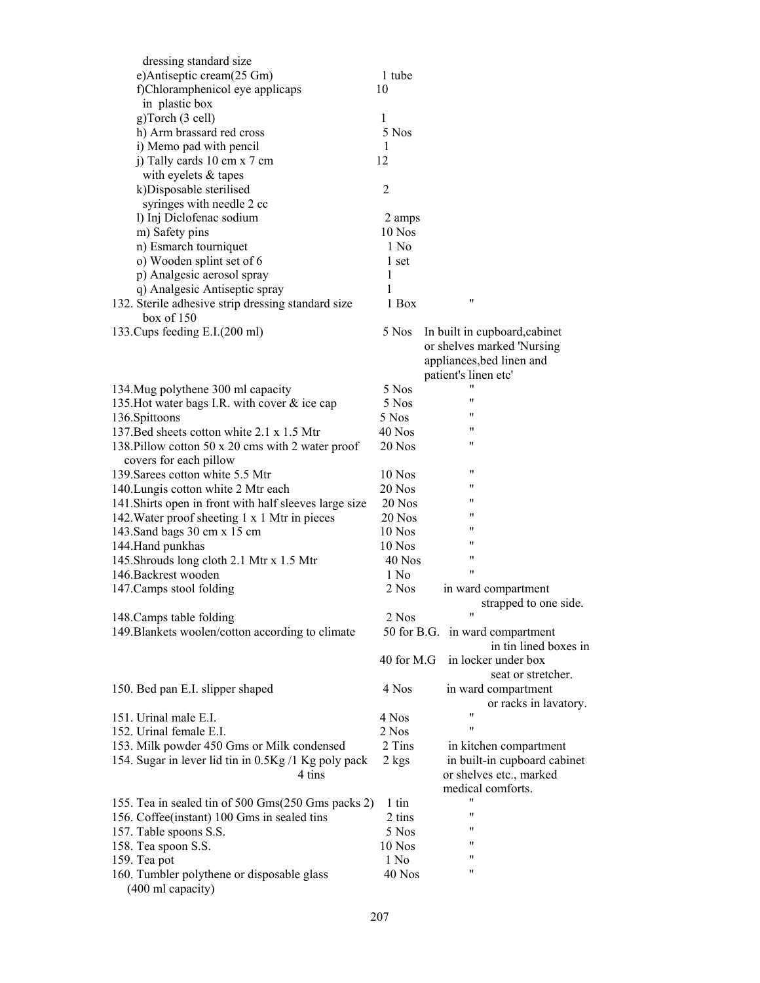| dressing standard size                                          |                 |                               |
|-----------------------------------------------------------------|-----------------|-------------------------------|
| e)Antiseptic cream(25 Gm)                                       | 1 tube          |                               |
| f)Chloramphenicol eye applicaps                                 | 10              |                               |
| in plastic box                                                  |                 |                               |
| g)Torch (3 cell)                                                | 1               |                               |
| h) Arm brassard red cross                                       | 5 Nos           |                               |
| i) Memo pad with pencil                                         | 1               |                               |
| j) Tally cards 10 cm x 7 cm                                     | 12              |                               |
| with eyelets & tapes                                            |                 |                               |
| k)Disposable sterilised                                         | $\overline{2}$  |                               |
| syringes with needle 2 cc                                       |                 |                               |
| l) Inj Diclofenac sodium                                        | 2 amps          |                               |
| m) Safety pins                                                  | 10 Nos          |                               |
| n) Esmarch tourniquet                                           | 1 No            |                               |
| o) Wooden splint set of 6                                       | 1 set           |                               |
| p) Analgesic aerosol spray                                      | 1               |                               |
| q) Analgesic Antiseptic spray                                   | 1               |                               |
| 132. Sterile adhesive strip dressing standard size              | 1 Box           | 11                            |
| box of $150$                                                    |                 |                               |
| 133. Cups feeding E.I. (200 ml)                                 | 5 Nos           | In built in cupboard, cabinet |
|                                                                 |                 | or shelves marked 'Nursing    |
|                                                                 |                 | appliances, bed linen and     |
|                                                                 |                 | patient's linen etc'          |
| 134. Mug polythene 300 ml capacity                              | 5 Nos           |                               |
| 135. Hot water bags I.R. with cover & ice cap                   | 5 Nos           | "                             |
| 136. Spittoons                                                  | 5 Nos           | 11                            |
| 137. Bed sheets cotton white 2.1 x 1.5 Mtr                      | $40$ Nos        | "                             |
| 138. Pillow cotton 50 x 20 cms with 2 water proof               | 20 Nos          | 11                            |
| covers for each pillow                                          |                 |                               |
| 139. Sarees cotton white 5.5 Mtr                                | 10 Nos          | "                             |
| 140. Lungis cotton white 2 Mtr each                             | 20 Nos          | "                             |
| 141. Shirts open in front with half sleeves large size          | 20 Nos          | "                             |
| 142. Water proof sheeting 1 x 1 Mtr in pieces                   | 20 Nos          | "                             |
|                                                                 | 10 Nos          | 11                            |
| 143. Sand bags 30 cm x 15 cm                                    | $10$ Nos        | "                             |
| 144. Hand punkhas                                               | $40$ Nos        | "                             |
| 145. Shrouds long cloth 2.1 Mtr x 1.5 Mtr                       |                 | $^{\prime \prime}$            |
| 146. Backrest wooden                                            | 1 No            |                               |
| 147. Camps stool folding                                        | 2 Nos           | in ward compartment           |
|                                                                 |                 | strapped to one side.         |
| 148. Camps table folding                                        | 2 Nos           |                               |
| 149. Blankets woolen/cotton according to climate                | 50 for B.G.     | in ward compartment           |
|                                                                 |                 | in tin lined boxes in         |
|                                                                 | 40 for M.G      | in locker under box           |
|                                                                 |                 | seat or stretcher.            |
| 150. Bed pan E.I. slipper shaped                                | 4 Nos           | in ward compartment           |
|                                                                 |                 | or racks in lavatory.<br>11   |
| 151. Urinal male E.I.                                           | 4 Nos           | "                             |
| 152. Urinal female E.I.                                         | 2 Nos           |                               |
| 153. Milk powder 450 Gms or Milk condensed                      | 2 Tins          | in kitchen compartment        |
| 154. Sugar in lever lid tin in 0.5Kg /1 Kg poly pack            | 2 kgs           | in built-in cupboard cabinet  |
| 4 tins                                                          |                 | or shelves etc., marked       |
|                                                                 |                 | medical comforts.             |
| 155. Tea in sealed tin of 500 Gms(250 Gms packs 2)              | $1 \text{ tin}$ |                               |
| 156. Coffee(instant) 100 Gms in sealed tins                     | 2 tins          | 11                            |
| 157. Table spoons S.S.                                          | 5 Nos           | 11                            |
| 158. Tea spoon S.S.                                             | 10 Nos          | 11                            |
| 159. Tea pot                                                    | 1 No            | 11                            |
| 160. Tumbler polythene or disposable glass<br>(400 ml capacity) | 40 Nos          | "                             |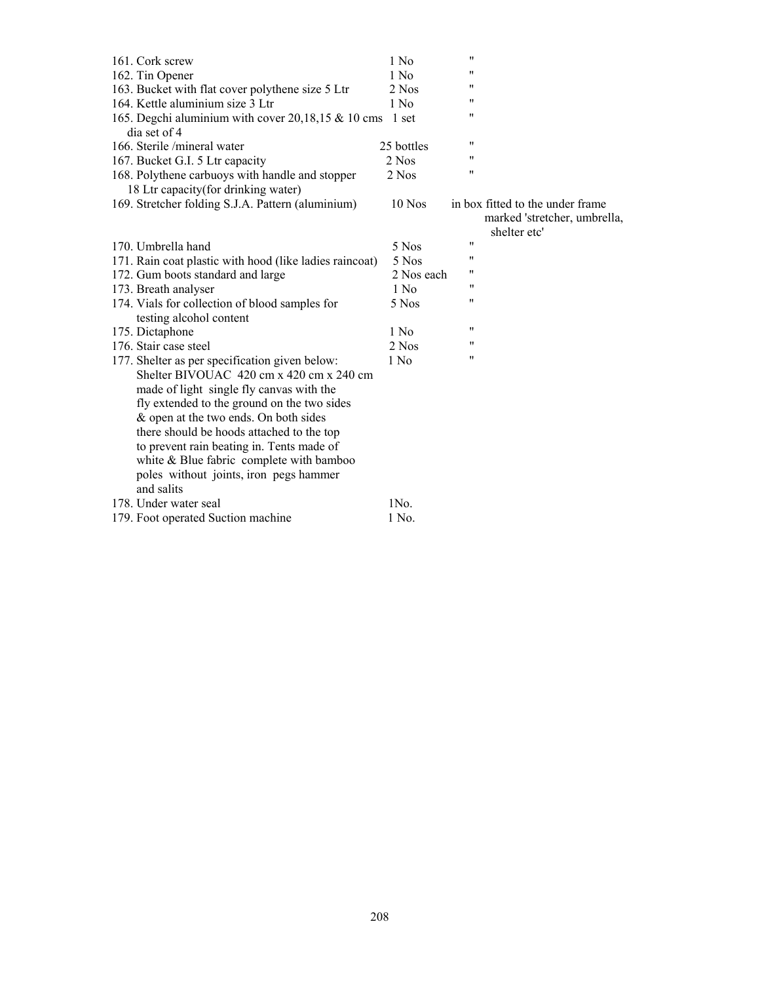| 161. Cork screw                                               | 1 No       | 11 |                                  |
|---------------------------------------------------------------|------------|----|----------------------------------|
| 162. Tin Opener                                               | 1 No       | 11 |                                  |
| 163. Bucket with flat cover polythene size 5 Ltr              | 2 Nos      | 11 |                                  |
| 164. Kettle aluminium size 3 Ltr                              | 1 No       | 11 |                                  |
| 165. Degchi aluminium with cover $20,18,15 \& 10 \text{ cms}$ | 1 set      | 11 |                                  |
| dia set of 4                                                  |            |    |                                  |
| 166. Sterile /mineral water                                   | 25 bottles | 11 |                                  |
| 167. Bucket G.I. 5 Ltr capacity                               | 2 Nos      | "  |                                  |
| 168. Polythene carbuoys with handle and stopper               | 2 Nos      | 11 |                                  |
| 18 Ltr capacity (for drinking water)                          |            |    |                                  |
| 169. Stretcher folding S.J.A. Pattern (aluminium)             | $10$ Nos   |    | in box fitted to the under frame |
|                                                               |            |    | marked 'stretcher, umbrella,     |
|                                                               |            |    | shelter etc'                     |
| 170. Umbrella hand                                            | 5 Nos      | 11 |                                  |
| 171. Rain coat plastic with hood (like ladies raincoat)       | 5 Nos      | 11 |                                  |
| 172. Gum boots standard and large                             | 2 Nos each | 11 |                                  |
| 173. Breath analyser                                          | $1$ No     | "  |                                  |
| 174. Vials for collection of blood samples for                | 5 Nos      | 11 |                                  |
| testing alcohol content                                       |            |    |                                  |
| 175. Dictaphone                                               | 1 No       | 11 |                                  |
| 176. Stair case steel                                         | 2 Nos      | "  |                                  |
| 177. Shelter as per specification given below:                | 1 No       | 11 |                                  |
| Shelter BIVOUAC 420 cm x 420 cm x 240 cm                      |            |    |                                  |
| made of light single fly canvas with the                      |            |    |                                  |
| fly extended to the ground on the two sides                   |            |    |                                  |
| & open at the two ends. On both sides                         |            |    |                                  |
| there should be hoods attached to the top                     |            |    |                                  |
| to prevent rain beating in. Tents made of                     |            |    |                                  |
| white & Blue fabric complete with bamboo                      |            |    |                                  |
| poles without joints, iron pegs hammer                        |            |    |                                  |
| and salits                                                    |            |    |                                  |
| 178. Under water seal                                         | 1No.       |    |                                  |
| 179. Foot operated Suction machine                            | 1 No.      |    |                                  |
|                                                               |            |    |                                  |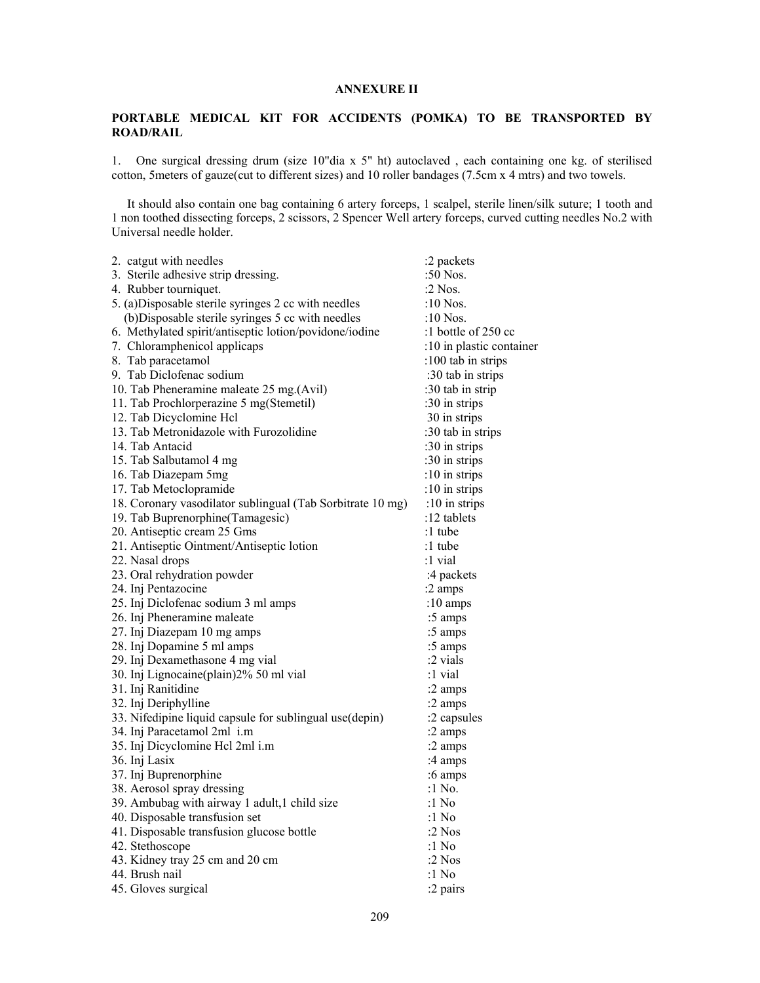## **ANNEXURE II**

# **PORTABLE MEDICAL KIT FOR ACCIDENTS (POMKA) TO BE TRANSPORTED BY ROAD/RAIL**

1. One surgical dressing drum (size 10"dia x 5" ht) autoclaved , each containing one kg. of sterilised cotton, 5meters of gauze(cut to different sizes) and 10 roller bandages (7.5cm x 4 mtrs) and two towels.

 It should also contain one bag containing 6 artery forceps, 1 scalpel, sterile linen/silk suture; 1 tooth and 1 non toothed dissecting forceps, 2 scissors, 2 Spencer Well artery forceps, curved cutting needles No.2 with Universal needle holder.

| 2. catgut with needles                                     | :2 packets               |
|------------------------------------------------------------|--------------------------|
| 3. Sterile adhesive strip dressing.                        | :50 Nos.                 |
| 4. Rubber tourniquet.                                      | $:2$ Nos.                |
| 5. (a)Disposable sterile syringes 2 cc with needles        | :10 Nos.                 |
| (b)Disposable sterile syringes 5 cc with needles           | :10 Nos.                 |
| 6. Methylated spirit/antiseptic lotion/povidone/iodine     | :1 bottle of $250$ cc    |
| 7. Chloramphenicol applicaps                               | :10 in plastic container |
| 8. Tab paracetamol                                         | :100 tab in strips       |
| 9. Tab Diclofenac sodium                                   | :30 tab in strips        |
| 10. Tab Pheneramine maleate 25 mg.(Avil)                   | :30 tab in strip         |
| 11. Tab Prochlorperazine 5 mg(Stemetil)                    | :30 in strips            |
| 12. Tab Dicyclomine Hcl                                    | 30 in strips             |
| 13. Tab Metronidazole with Furozolidine                    | :30 tab in strips        |
| 14. Tab Antacid                                            | :30 in strips            |
| 15. Tab Salbutamol 4 mg                                    | :30 in strips            |
| 16. Tab Diazepam 5mg                                       | :10 in strips            |
| 17. Tab Metoclopramide                                     | :10 in strips            |
| 18. Coronary vasodilator sublingual (Tab Sorbitrate 10 mg) | :10 in strips            |
| 19. Tab Buprenorphine(Tamagesic)                           | :12 tablets              |
| 20. Antiseptic cream 25 Gms                                | :1 tube                  |
| 21. Antiseptic Ointment/Antiseptic lotion                  | :1 tube                  |
| 22. Nasal drops                                            | :1 vial                  |
| 23. Oral rehydration powder                                | :4 packets               |
| 24. Inj Pentazocine                                        | :2 amps                  |
| 25. Inj Diclofenac sodium 3 ml amps                        | :10 amps                 |
| 26. Inj Pheneramine maleate                                | :5 amps                  |
| 27. Inj Diazepam 10 mg amps                                | :5 amps                  |
| 28. Inj Dopamine 5 ml amps                                 | :5 amps                  |
| 29. Inj Dexamethasone 4 mg vial                            | $:2$ vials               |
| 30. Inj Lignocaine(plain)2% 50 ml vial                     | :1 vial                  |
| 31. Inj Ranitidine                                         | :2 amps                  |
| 32. Inj Deriphylline                                       | :2 amps                  |
| 33. Nifedipine liquid capsule for sublingual use(depin)    | :2 capsules              |
| 34. Inj Paracetamol 2ml i.m                                | :2 amps                  |
| 35. Inj Dicyclomine Hel 2ml i.m                            | :2 amps                  |
| 36. Inj Lasix                                              | :4 amps                  |
| 37. Inj Buprenorphine                                      | :6 amps                  |
| 38. Aerosol spray dressing                                 | :1 No.                   |
| 39. Ambubag with airway 1 adult, 1 child size              | :1 No                    |
| 40. Disposable transfusion set                             | :1 $No$                  |
| 41. Disposable transfusion glucose bottle                  | :2 $N$ os                |
| 42. Stethoscope                                            | :1 $No$                  |
| 43. Kidney tray 25 cm and 20 cm                            | :2 $N$ os                |
| 44. Brush nail                                             | :1 No                    |
| 45. Gloves surgical                                        | :2 pairs                 |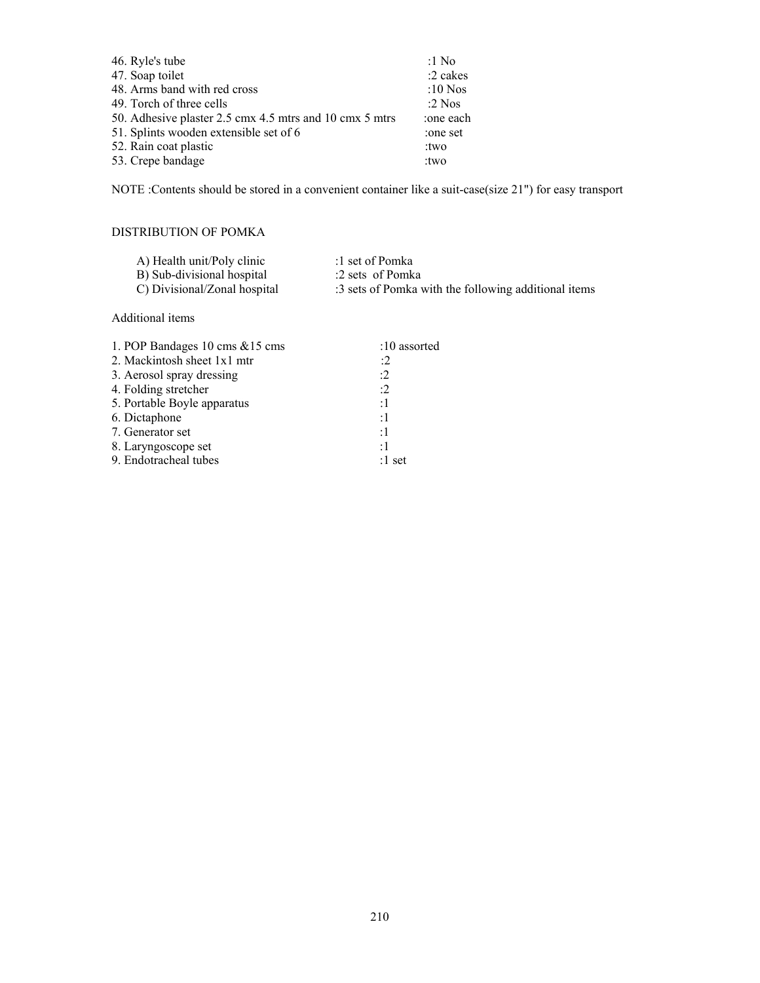| 46. Ryle's tube                                         | :1 $No$    |
|---------------------------------------------------------|------------|
| 47. Soap toilet                                         | $:2$ cakes |
| 48. Arms band with red cross                            | :10 Nos    |
| 49. Torch of three cells                                | $:2$ Nos   |
| 50. Adhesive plaster 2.5 cmx 4.5 mtrs and 10 cmx 5 mtrs | :one each  |
| 51. Splints wooden extensible set of 6                  | :one set   |
| 52. Rain coat plastic                                   | : two      |
| 53. Crepe bandage                                       | : two      |
|                                                         |            |

NOTE :Contents should be stored in a convenient container like a suit-case(size 21") for easy transport

# DISTRIBUTION OF POMKA

| A) Health unit/Poly clinic   | :1 set of Pomka                                      |
|------------------------------|------------------------------------------------------|
| B) Sub-divisional hospital   | :2 sets of Pomka                                     |
| C) Divisional/Zonal hospital | :3 sets of Pomka with the following additional items |

# Additional items

| 1. POP Bandages 10 cms & 15 cms | $:10$ assorted |
|---------------------------------|----------------|
| 2. Mackintosh sheet 1x1 mtr     | :2             |
| 3. Aerosol spray dressing       | :2             |
| 4. Folding stretcher            | :2             |
| 5. Portable Boyle apparatus     | :1             |
| 6. Dictaphone                   | :1             |
| 7. Generator set                | :1             |
| 8. Laryngoscope set             | :1             |
| 9. Endotracheal tubes           | :1 set         |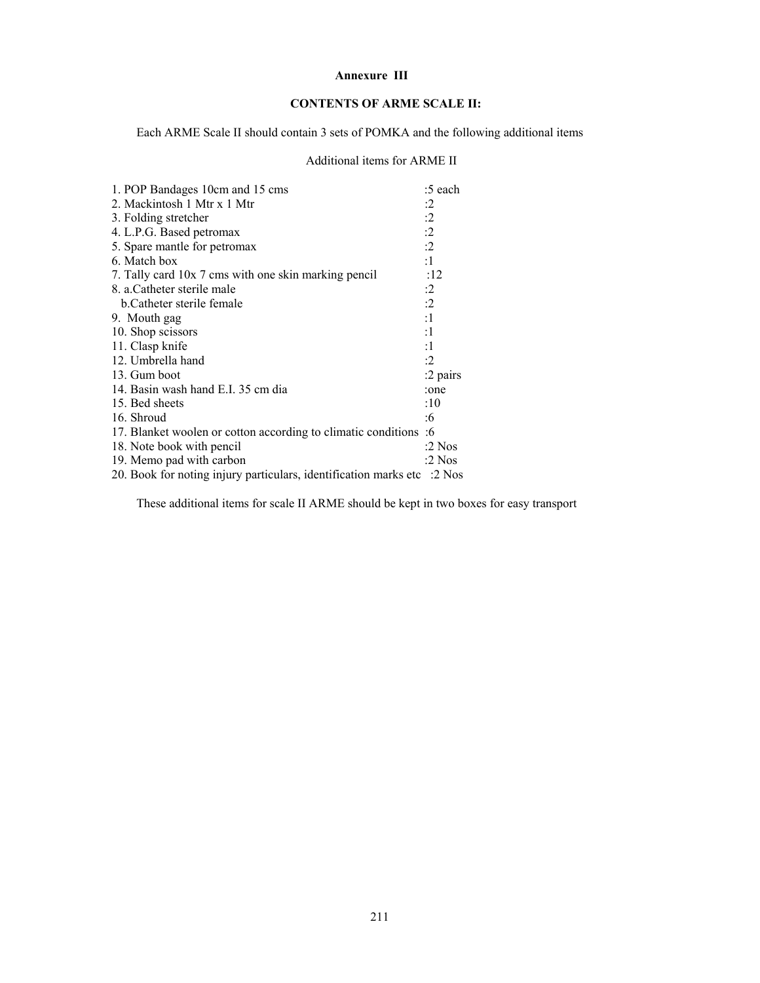### **Annexure III**

# **CONTENTS OF ARME SCALE II:**

Each ARME Scale II should contain 3 sets of POMKA and the following additional items

# Additional items for ARME II

| 1. POP Bandages 10cm and 15 cms                                         | :5 each   |
|-------------------------------------------------------------------------|-----------|
| 2. Mackintosh 1 Mtr x 1 Mtr                                             | :2        |
| 3. Folding stretcher                                                    | :2        |
| 4. L.P.G. Based petromax                                                | :2        |
| 5. Spare mantle for petromax                                            | :2        |
| 6. Match box                                                            | :1        |
| 7. Tally card 10x 7 cms with one skin marking pencil                    | :12       |
| 8. a.Catheter sterile male                                              | :2        |
| b. Catheter sterile female                                              | :2        |
| 9. Mouth gag                                                            | :1        |
| 10. Shop scissors                                                       | :1        |
| 11. Clasp knife                                                         | :1        |
| 12. Umbrella hand                                                       | $\cdot 2$ |
| 13. Gum boot                                                            | :2 pairs  |
| 14. Basin wash hand E.I. 35 cm dia                                      | :one      |
| 15. Bed sheets                                                          | :10       |
| 16. Shroud                                                              | :6        |
| 17. Blanket woolen or cotton according to climatic conditions           | :6        |
| 18. Note book with pencil                                               | :2 $Nos$  |
| 19. Memo pad with carbon                                                | :2 $Nos$  |
| 20. Book for noting injury particulars, identification marks etc :2 Nos |           |

These additional items for scale II ARME should be kept in two boxes for easy transport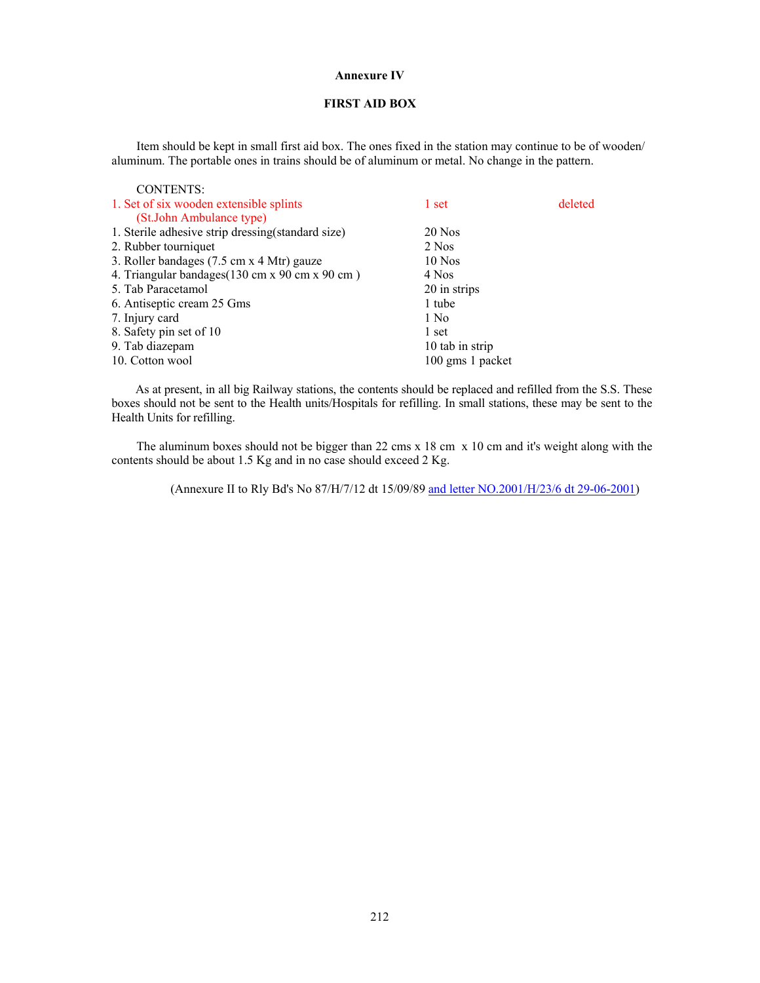### **Annexure IV**

## **FIRST AID BOX**

 Item should be kept in small first aid box. The ones fixed in the station may continue to be of wooden/ aluminum. The portable ones in trains should be of aluminum or metal. No change in the pattern.

| <b>CONTENTS:</b>                                   |                  |         |
|----------------------------------------------------|------------------|---------|
| 1. Set of six wooden extensible splints            | 1 set            | deleted |
| (St.John Ambulance type)                           |                  |         |
| 1. Sterile adhesive strip dressing (standard size) | $20$ Nos         |         |
| 2. Rubber tourniquet                               | 2 Nos            |         |
| 3. Roller bandages (7.5 cm x 4 Mtr) gauze          | $10$ Nos         |         |
| 4. Triangular bandages (130 cm x 90 cm x 90 cm)    | 4 Nos            |         |
| 5. Tab Paracetamol                                 | 20 in strips     |         |
| 6. Antiseptic cream 25 Gms                         | 1 tube           |         |
| 7. Injury card                                     | 1 No             |         |
| 8. Safety pin set of 10                            | 1 set            |         |
| 9. Tab diazepam                                    | 10 tab in strip  |         |
| 10. Cotton wool                                    | 100 gms 1 packet |         |

 As at present, in all big Railway stations, the contents should be replaced and refilled from the S.S. These boxes should not be sent to the Health units/Hospitals for refilling. In small stations, these may be sent to the Health Units for refilling.

 The aluminum boxes should not be bigger than 22 cms x 18 cm x 10 cm and it's weight along with the contents should be about 1.5 Kg and in no case should exceed 2 Kg.

(Annexure II to Rly Bd's No 87/H/7/12 dt 15/09/89 and letter NO.2001/H/23/6 dt 29-06-2001)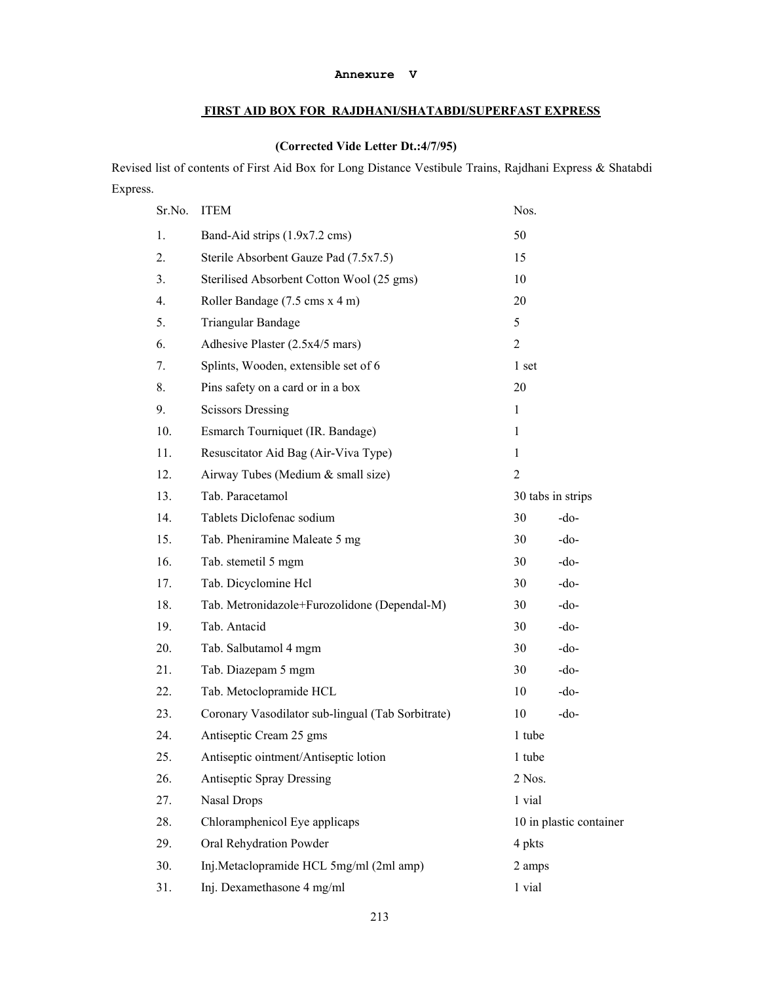#### **Annexure V**

# **FIRST AID BOX FOR RAJDHANI/SHATABDI/SUPERFAST EXPRESS**

# **(Corrected Vide Letter Dt.:4/7/95)**

Revised list of contents of First Aid Box for Long Distance Vestibule Trains, Rajdhani Express & Shatabdi Express.

| Sr.No. | <b>ITEM</b>                                       | Nos.              |                         |
|--------|---------------------------------------------------|-------------------|-------------------------|
| 1.     | Band-Aid strips (1.9x7.2 cms)                     | 50                |                         |
| 2.     | Sterile Absorbent Gauze Pad (7.5x7.5)             | 15                |                         |
| 3.     | Sterilised Absorbent Cotton Wool (25 gms)         | 10                |                         |
| 4.     | Roller Bandage (7.5 cms x 4 m)                    | 20                |                         |
| 5.     | Triangular Bandage                                | 5                 |                         |
| 6.     | Adhesive Plaster (2.5x4/5 mars)                   | $\overline{2}$    |                         |
| 7.     | Splints, Wooden, extensible set of 6              | 1 set             |                         |
| 8.     | Pins safety on a card or in a box                 | 20                |                         |
| 9.     | <b>Scissors Dressing</b>                          | 1                 |                         |
| 10.    | Esmarch Tourniquet (IR. Bandage)                  | 1                 |                         |
| 11.    | Resuscitator Aid Bag (Air-Viva Type)              | $\mathbf{1}$      |                         |
| 12.    | Airway Tubes (Medium & small size)                | $\overline{2}$    |                         |
| 13.    | Tab. Paracetamol                                  | 30 tabs in strips |                         |
| 14.    | Tablets Diclofenac sodium                         | 30                | $-do-$                  |
| 15.    | Tab. Pheniramine Maleate 5 mg                     | 30                | -do-                    |
| 16.    | Tab. stemetil 5 mgm                               | 30                | $-do-$                  |
| 17.    | Tab. Dicyclomine Hcl                              | 30                | $-do-$                  |
| 18.    | Tab. Metronidazole+Furozolidone (Dependal-M)      | 30                | $-do-$                  |
| 19.    | Tab. Antacid                                      | 30                | -do-                    |
| 20.    | Tab. Salbutamol 4 mgm                             | 30                | $-do-$                  |
| 21.    | Tab. Diazepam 5 mgm                               | 30                | $-do-$                  |
| 22.    | Tab. Metoclopramide HCL                           | 10                | $-do-$                  |
| 23.    | Coronary Vasodilator sub-lingual (Tab Sorbitrate) | 10                | $-do-$                  |
| 24.    | Antiseptic Cream 25 gms                           | 1 tube            |                         |
| 25.    | Antiseptic ointment/Antiseptic lotion             | 1 tube            |                         |
| 26.    | <b>Antiseptic Spray Dressing</b>                  | 2 Nos.            |                         |
| 27.    | <b>Nasal Drops</b>                                | 1 vial            |                         |
| 28.    | Chloramphenicol Eye applicaps                     |                   | 10 in plastic container |
| 29.    | Oral Rehydration Powder                           | 4 pkts            |                         |
| 30.    | Inj.Metaclopramide HCL 5mg/ml (2ml amp)           | 2 amps            |                         |
| 31.    | Inj. Dexamethasone 4 mg/ml                        | 1 vial            |                         |
|        |                                                   |                   |                         |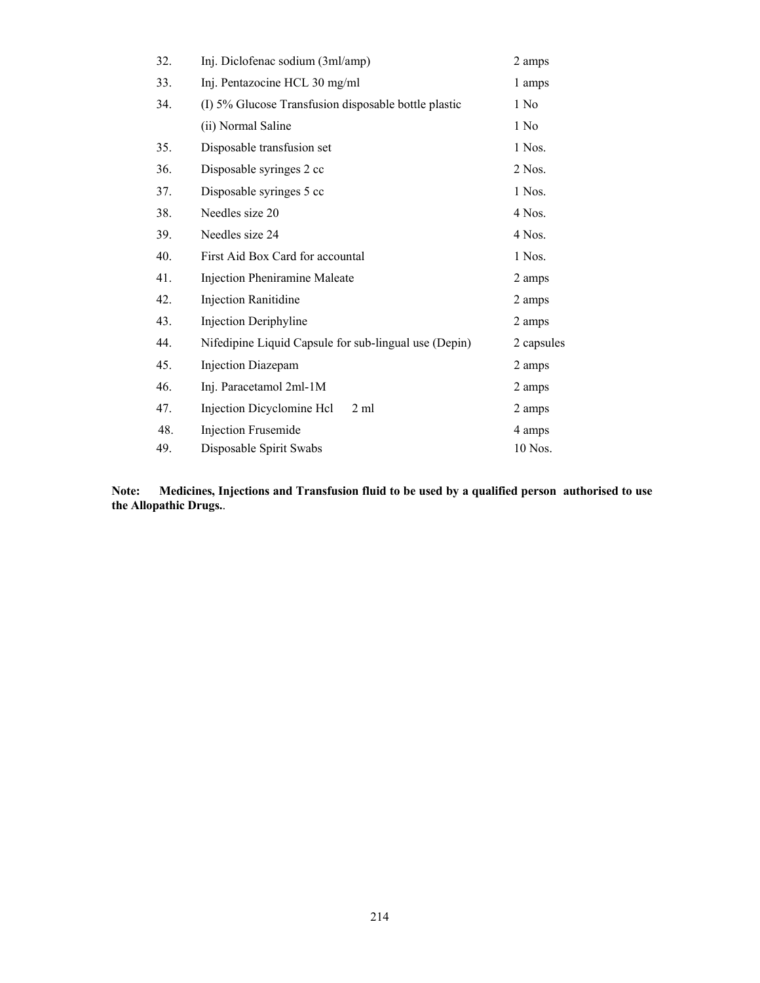| 32. | Inj. Diclofenac sodium (3ml/amp)                      | 2 amps           |
|-----|-------------------------------------------------------|------------------|
| 33. | Inj. Pentazocine HCL 30 mg/ml                         | 1 amps           |
| 34. | (I) 5% Glucose Transfusion disposable bottle plastic  | 1 No             |
|     | (ii) Normal Saline                                    | 1 N <sub>0</sub> |
| 35. | Disposable transfusion set                            | 1 Nos.           |
| 36. | Disposable syringes 2 cc                              | $2$ Nos.         |
| 37. | Disposable syringes 5 cc                              | 1 Nos.           |
| 38. | Needles size 20                                       | 4 Nos.           |
| 39. | Needles size 24                                       | 4 Nos.           |
| 40. | First Aid Box Card for accountal                      | 1 Nos.           |
| 41. | Injection Pheniramine Maleate                         | 2 amps           |
| 42. | <b>Injection Ranitidine</b>                           | 2 amps           |
| 43. | Injection Deriphyline                                 | 2 amps           |
| 44. | Nifedipine Liquid Capsule for sub-lingual use (Depin) | 2 capsules       |
| 45. | Injection Diazepam                                    | 2 amps           |
| 46. | Inj. Paracetamol 2ml-1M                               | 2 amps           |
| 47. | Injection Dicyclomine Hcl<br>$2 \text{ ml}$           | 2 amps           |
| 48. | <b>Injection Frusemide</b>                            | 4 amps           |
| 49. | Disposable Spirit Swabs                               | 10 Nos.          |

**Note: Medicines, Injections and Transfusion fluid to be used by a qualified person authorised to use the Allopathic Drugs.**.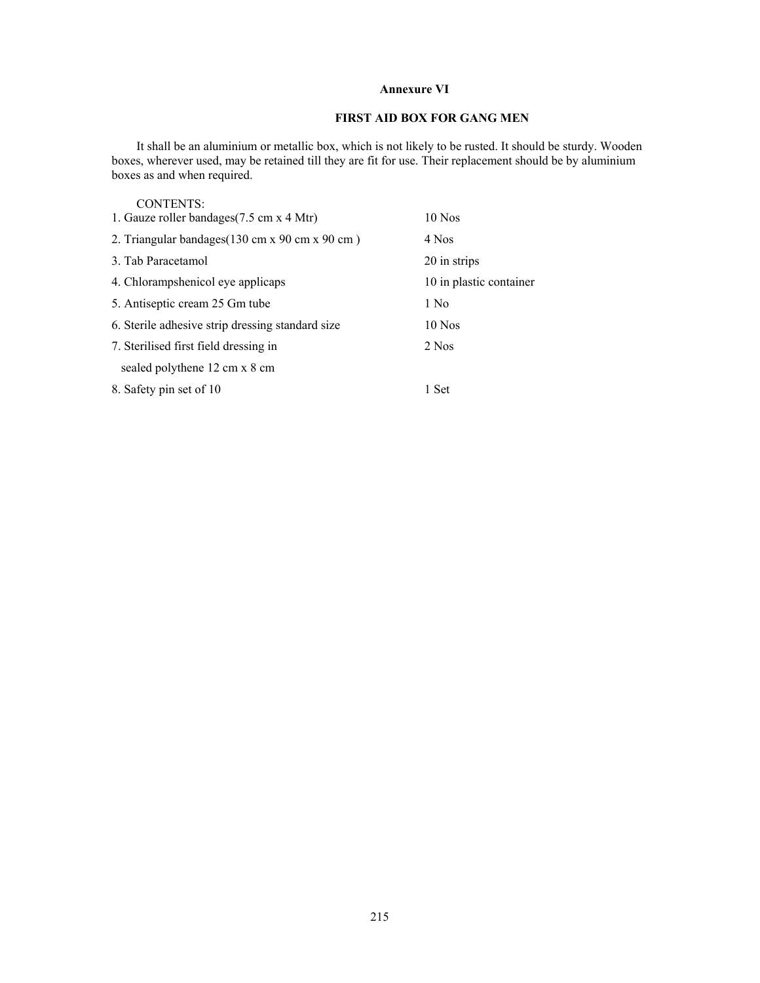## **Annexure VI**

# **FIRST AID BOX FOR GANG MEN**

 It shall be an aluminium or metallic box, which is not likely to be rusted. It should be sturdy. Wooden boxes, wherever used, may be retained till they are fit for use. Their replacement should be by aluminium boxes as and when required.

| <b>CONTENTS:</b>                                 |                         |
|--------------------------------------------------|-------------------------|
| 1. Gauze roller bandages (7.5 cm x 4 Mtr)        | $10$ Nos                |
| 2. Triangular bandages (130 cm x 90 cm x 90 cm)  | 4 Nos                   |
| 3. Tab Paracetamol                               | 20 in strips            |
| 4. Chlorampshenicol eye applicaps                | 10 in plastic container |
| 5. Antiseptic cream 25 Gm tube                   | 1 No                    |
| 6. Sterile adhesive strip dressing standard size | $10$ Nos                |
| 7. Sterilised first field dressing in            | 2 Nos                   |
| sealed polythene 12 cm x 8 cm                    |                         |
| 8. Safety pin set of 10                          | 1 Set                   |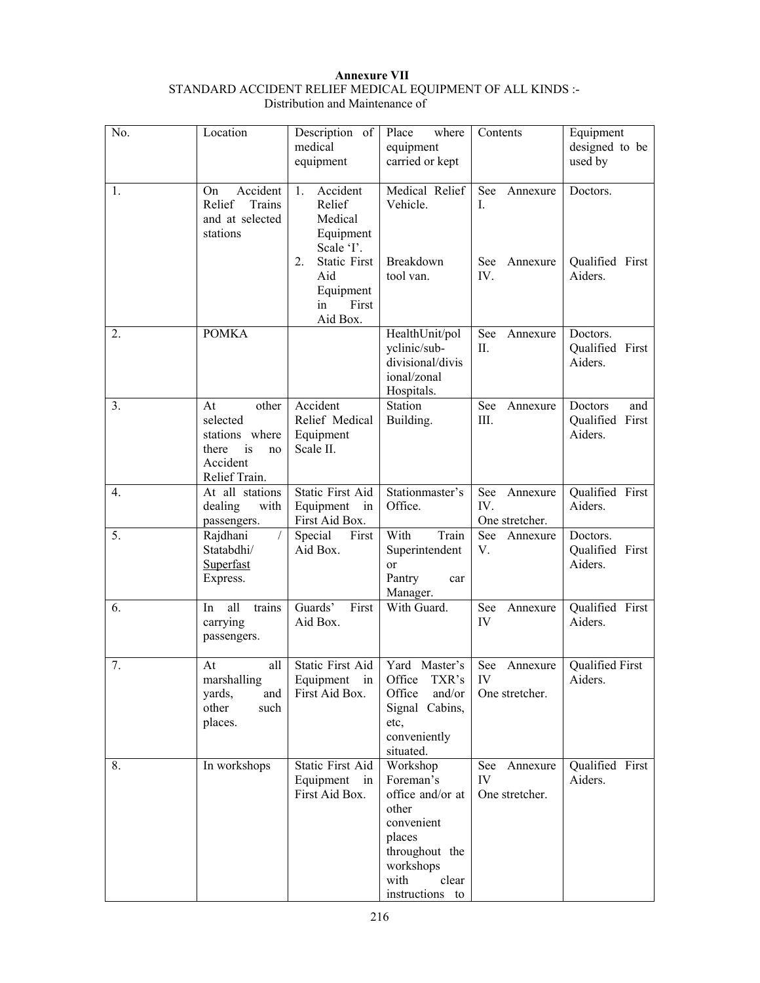### **Annexure VII**  STANDARD ACCIDENT RELIEF MEDICAL EQUIPMENT OF ALL KINDS :- Distribution and Maintenance of

| No. | Location                                                                                    | Description of<br>medical<br>equipment                                                                                                     | Place<br>where<br>equipment<br>carried or kept                                                                                                | Contents                                               | Equipment<br>designed to be<br>used by       |
|-----|---------------------------------------------------------------------------------------------|--------------------------------------------------------------------------------------------------------------------------------------------|-----------------------------------------------------------------------------------------------------------------------------------------------|--------------------------------------------------------|----------------------------------------------|
| 1.  | Accident<br>On<br>Relief<br>Trains<br>and at selected<br>stations                           | Accident<br>1.<br>Relief<br>Medical<br>Equipment<br>Scale 'I'.<br>2.<br><b>Static First</b><br>Aid<br>Equipment<br>First<br>in<br>Aid Box. | Medical Relief<br>Vehicle.<br>Breakdown<br>tool van.                                                                                          | See<br>Annexure<br>I.<br><b>See</b><br>Annexure<br>IV. | Doctors.<br>Qualified First<br>Aiders.       |
| 2.  | <b>POMKA</b>                                                                                |                                                                                                                                            | HealthUnit/pol<br>yclinic/sub-<br>divisional/divis<br>ional/zonal<br>Hospitals.                                                               | See<br>Annexure<br>П.                                  | Doctors.<br>Qualified First<br>Aiders.       |
| 3.  | other<br>At<br>selected<br>stations where<br>there<br>is<br>no<br>Accident<br>Relief Train. | Accident<br>Relief Medical<br>Equipment<br>Scale II.                                                                                       | Station<br>Building.                                                                                                                          | See<br>Annexure<br>Ш.                                  | Doctors<br>and<br>Qualified First<br>Aiders. |
| 4.  | At all stations<br>dealing<br>with<br>passengers.                                           | Static First Aid<br>Equipment<br>in<br>First Aid Box.                                                                                      | Stationmaster's<br>Office.                                                                                                                    | See<br>Annexure<br>IV.<br>One stretcher.               | Qualified First<br>Aiders.                   |
| 5.  | Rajdhani<br>$\prime$<br>Statabdhi/<br>Superfast<br>Express.                                 | Special First<br>Aid Box.                                                                                                                  | With<br>Train<br>Superintendent<br><sub>or</sub><br>Pantry<br>car<br>Manager.                                                                 | See<br>Annexure<br>V.                                  | Doctors.<br>Qualified First<br>Aiders.       |
| 6.  | all<br>In<br>trains<br>carrying<br>passengers.                                              | Guards'<br>First<br>Aid Box.                                                                                                               | With Guard.                                                                                                                                   | See<br>Annexure<br>IV                                  | Qualified First<br>Aiders.                   |
| 7.  | all<br>At<br>marshalling<br>yards,<br>and<br>other<br>such<br>places.                       | Static First Aid<br>First Aid Box.                                                                                                         | Yard Master's<br>Equipment in Office TXR's<br>Office<br>and/or<br>Signal Cabins,<br>etc,<br>conveniently<br>situated.                         | See Annexure<br>IV<br>One stretcher.                   | Qualified First<br>Aiders.                   |
| 8.  | In workshops                                                                                | Static First Aid<br>Equipment in<br>First Aid Box.                                                                                         | Workshop<br>Foreman's<br>office and/or at<br>other<br>convenient<br>places<br>throughout the<br>workshops<br>with<br>clear<br>instructions to | See<br>Annexure<br>IV<br>One stretcher.                | Qualified First<br>Aiders.                   |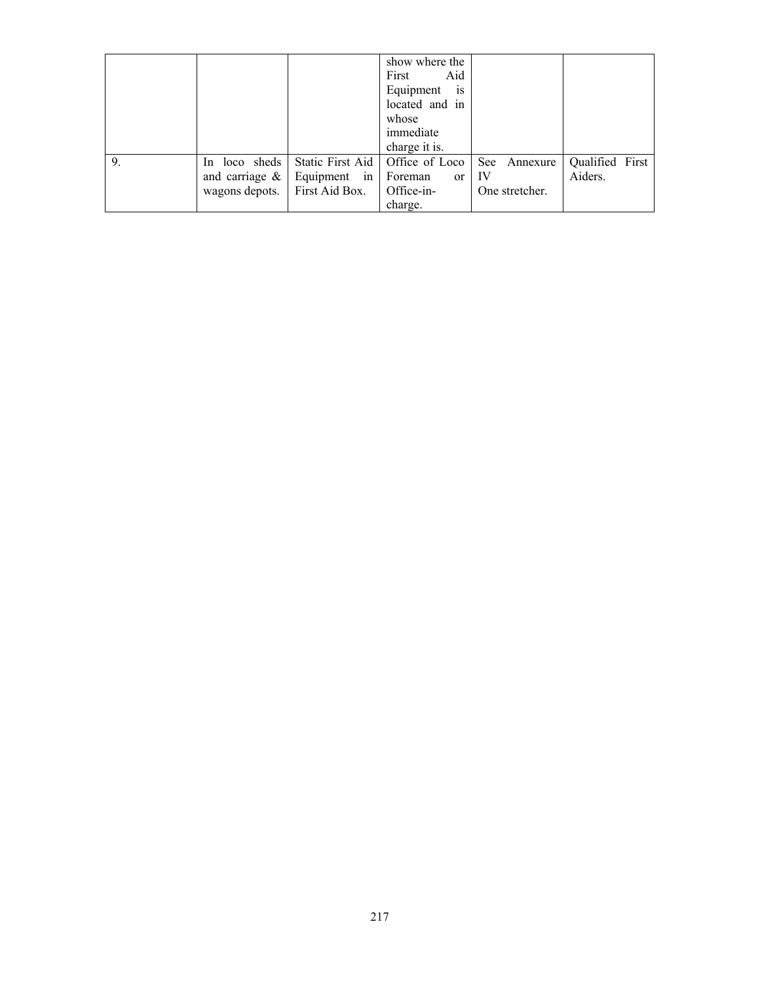|    |                                                        |                                                    | show where the<br>First<br>Aid<br>Equipment<br><sup>1</sup> S<br>located and in<br>whose<br>immediate<br>charge it is. |                                                 |                            |
|----|--------------------------------------------------------|----------------------------------------------------|------------------------------------------------------------------------------------------------------------------------|-------------------------------------------------|----------------------------|
| 9. | In loco sheds<br>and carriage $\&$  <br>wagons depots. | Static First Aid<br>Equipment in<br>First Aid Box. | Office of Loco<br>Foreman<br><sub>or</sub><br>Office-in-<br>charge.                                                    | <b>See</b><br>Annexure<br>-IV<br>One stretcher. | Qualified First<br>Aiders. |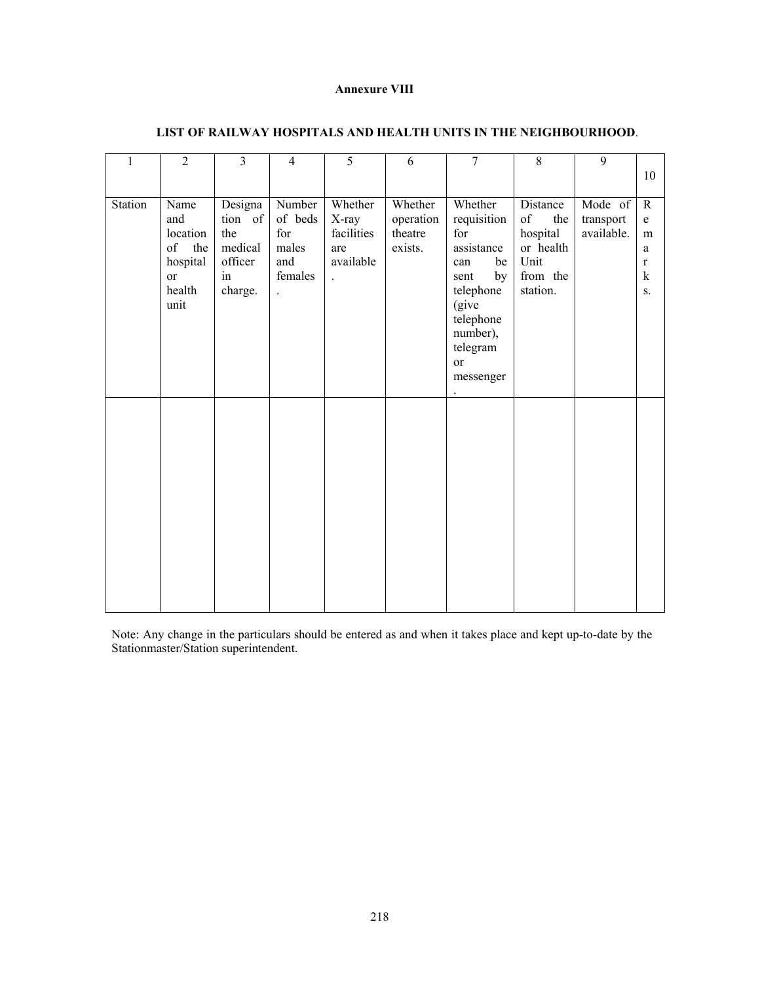### **Annexure VIII**

| $\mathbf{1}$ | $\overline{2}$                                                                  | 3                                                                | $\overline{4}$                                                              | 5                                                                          | 6                                          | 7                                                                                                                                                    | $\,8\,$                                                                                                                                                                        | 9                                  | 10                                                                         |
|--------------|---------------------------------------------------------------------------------|------------------------------------------------------------------|-----------------------------------------------------------------------------|----------------------------------------------------------------------------|--------------------------------------------|------------------------------------------------------------------------------------------------------------------------------------------------------|--------------------------------------------------------------------------------------------------------------------------------------------------------------------------------|------------------------------------|----------------------------------------------------------------------------|
| Station      | Name<br>and<br>location<br>of<br>the<br>hospital<br><b>or</b><br>health<br>unit | Designa<br>tion of<br>the<br>medical<br>officer<br>in<br>charge. | Number<br>of beds<br>for<br>males<br>and<br>females<br>$\ddot{\phantom{a}}$ | Whether<br>X-ray<br>facilities<br>are<br>available<br>$\ddot{\phantom{0}}$ | Whether<br>operation<br>theatre<br>exists. | Whether<br>requisition<br>for<br>assistance<br>be<br>can<br>by<br>sent<br>telephone<br>(give<br>telephone<br>number),<br>telegram<br>or<br>messenger | Distance<br>$% \left( \left( \mathcal{A},\mathcal{A}\right) \right) =\left( \mathcal{A},\mathcal{A}\right)$ of<br>the<br>hospital<br>or health<br>Unit<br>from the<br>station. | Mode of<br>transport<br>available. | ${\bf R}$<br>$\mathbf e$<br>m<br>a<br>$\mathbf r$<br>$\bf k$<br>${\bf S}.$ |
|              |                                                                                 |                                                                  |                                                                             |                                                                            |                                            |                                                                                                                                                      |                                                                                                                                                                                |                                    |                                                                            |

## **LIST OF RAILWAY HOSPITALS AND HEALTH UNITS IN THE NEIGHBOURHOOD**.

Note: Any change in the particulars should be entered as and when it takes place and kept up-to-date by the Stationmaster/Station superintendent.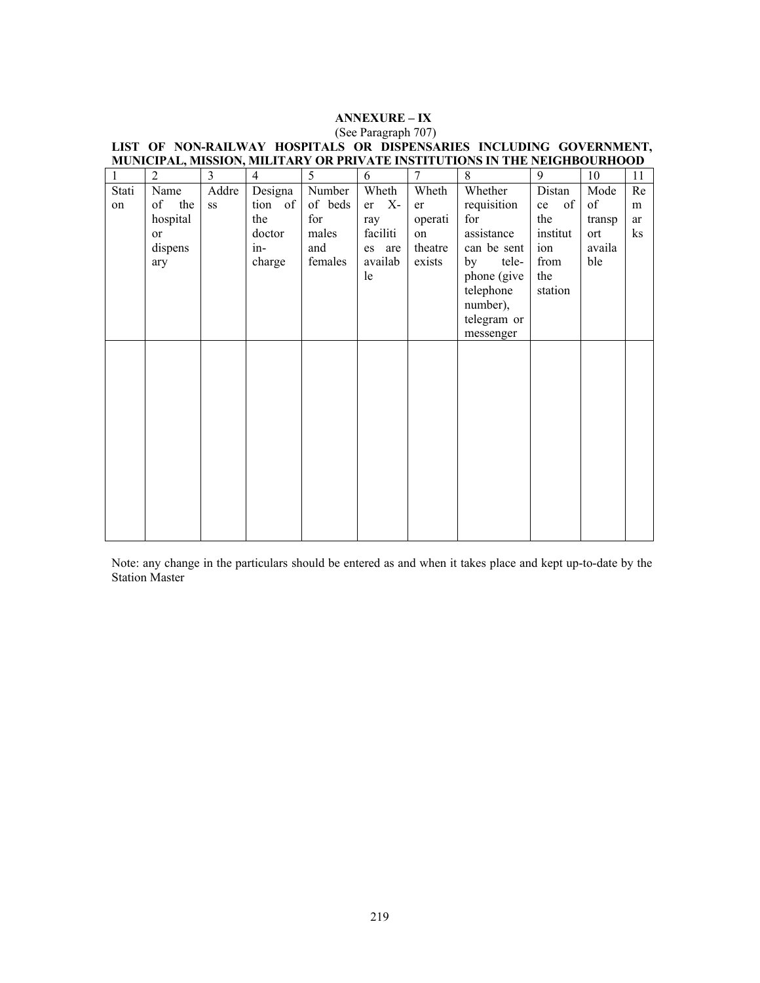# **ANNEXURE – IX**

| $\mathbf{1}$ | $\overline{2}$ | 3           | $\overline{4}$ | 5       | 6          | 7       | 8           | 9        | 10     | 11 |
|--------------|----------------|-------------|----------------|---------|------------|---------|-------------|----------|--------|----|
| Stati        | Name           | Addre       | Designa        | Number  | Wheth      | Wheth   | Whether     | Distan   | Mode   | Re |
| on           | of the         | $_{\rm SS}$ | tion of        | of beds | $X-$<br>er | er      | requisition | of<br>ce | of     | m  |
|              | hospital       |             | the            | for     | ray        | operati | for         | the      | transp | ar |
|              | <sub>or</sub>  |             | doctor         | males   | faciliti   | on      | assistance  | institut | ort    | ks |
|              | dispens        |             | $in$ -         | and     | es are     | theatre | can be sent | ion      | availa |    |
|              | ary            |             | charge         | females | availab    | exists  | tele-<br>by | from     | ble    |    |
|              |                |             |                |         | le         |         | phone (give | the      |        |    |
|              |                |             |                |         |            |         | telephone   | station  |        |    |
|              |                |             |                |         |            |         | number),    |          |        |    |
|              |                |             |                |         |            |         | telegram or |          |        |    |
|              |                |             |                |         |            |         | messenger   |          |        |    |
|              |                |             |                |         |            |         |             |          |        |    |
|              |                |             |                |         |            |         |             |          |        |    |
|              |                |             |                |         |            |         |             |          |        |    |
|              |                |             |                |         |            |         |             |          |        |    |
|              |                |             |                |         |            |         |             |          |        |    |
|              |                |             |                |         |            |         |             |          |        |    |
|              |                |             |                |         |            |         |             |          |        |    |
|              |                |             |                |         |            |         |             |          |        |    |
|              |                |             |                |         |            |         |             |          |        |    |
|              |                |             |                |         |            |         |             |          |        |    |
|              |                |             |                |         |            |         |             |          |        |    |
|              |                |             |                |         |            |         |             |          |        |    |
|              |                |             |                |         |            |         |             |          |        |    |

### (See Paragraph 707) **LIST OF NON-RAILWAY HOSPITALS OR DISPENSARIES INCLUDING GOVERNMENT, MUNICIPAL, MISSION, MILITARY OR PRIVATE INSTITUTIONS IN THE NEIGHBOURHOOD**

Note: any change in the particulars should be entered as and when it takes place and kept up-to-date by the Station Master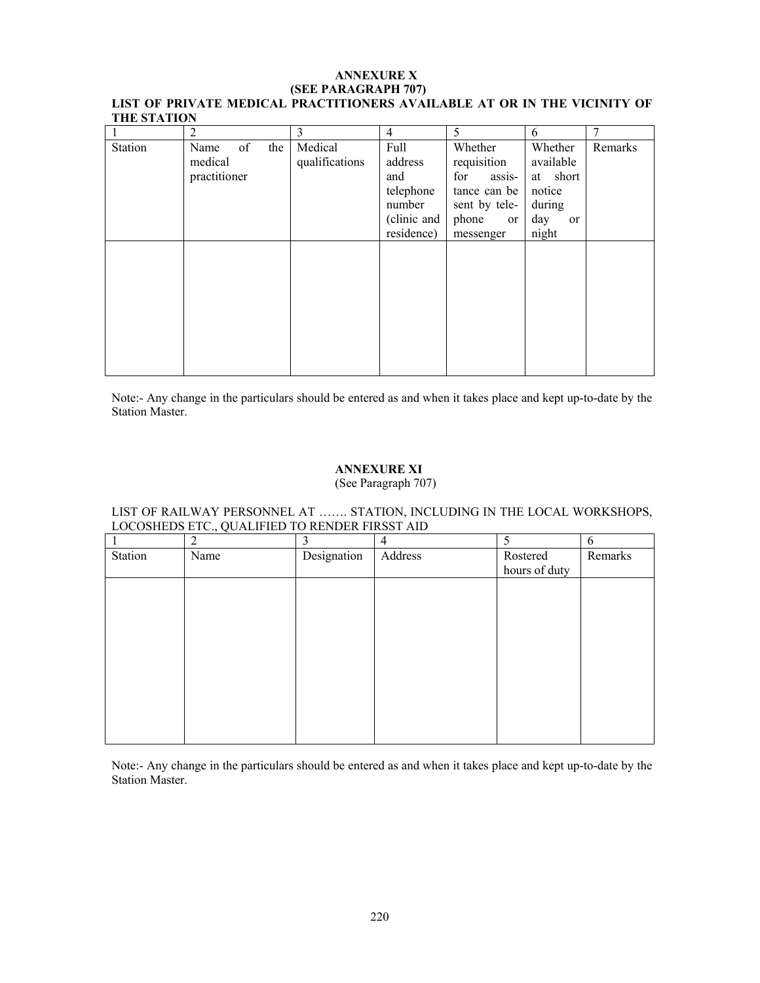#### **ANNEXURE X (SEE PARAGRAPH 707) LIST OF PRIVATE MEDICAL PRACTITIONERS AVAILABLE AT OR IN THE VICINITY OF THE STATION**

|         | 2                                            | 3                         | $\overline{4}$                                                             | 5                                                                                                    | 6                                                                          |         |
|---------|----------------------------------------------|---------------------------|----------------------------------------------------------------------------|------------------------------------------------------------------------------------------------------|----------------------------------------------------------------------------|---------|
| Station | of<br>the<br>Name<br>medical<br>practitioner | Medical<br>qualifications | Full<br>address<br>and<br>telephone<br>number<br>(clinic and<br>residence) | Whether<br>requisition<br>for<br>assis-<br>tance can be<br>sent by tele-<br>phone<br>or<br>messenger | Whether<br>available<br>at short<br>notice<br>during<br>day<br>or<br>night | Remarks |
|         |                                              |                           |                                                                            |                                                                                                      |                                                                            |         |

Note:- Any change in the particulars should be entered as and when it takes place and kept up-to-date by the Station Master.

## **ANNEXURE XI**

(See Paragraph 707)

## LIST OF RAILWAY PERSONNEL AT ……. STATION, INCLUDING IN THE LOCAL WORKSHOPS, LOCOSHEDS ETC., QUALIFIED TO RENDER FIRSST AID

|         | $\overline{2}$ | 3           | 4       | 5             | 6       |
|---------|----------------|-------------|---------|---------------|---------|
| Station | Name           | Designation | Address | Rostered      | Remarks |
|         |                |             |         | hours of duty |         |
|         |                |             |         |               |         |
|         |                |             |         |               |         |
|         |                |             |         |               |         |
|         |                |             |         |               |         |
|         |                |             |         |               |         |
|         |                |             |         |               |         |
|         |                |             |         |               |         |
|         |                |             |         |               |         |
|         |                |             |         |               |         |
|         |                |             |         |               |         |
|         |                |             |         |               |         |

Note:- Any change in the particulars should be entered as and when it takes place and kept up-to-date by the Station Master.